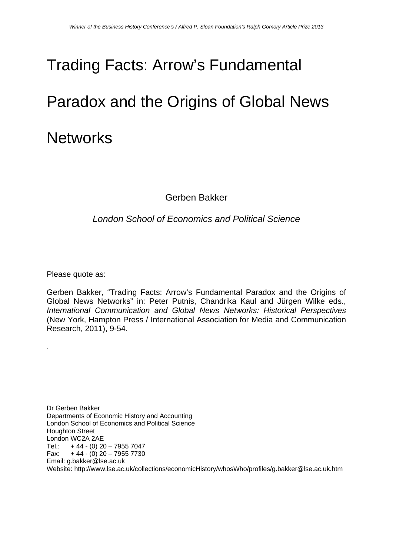# Trading Facts: Arrow's Fundamental

# Paradox and the Origins of Global News **Networks**

Gerben Bakker

## *London School of Economics and Political Science*

Please quote as:

.

Gerben Bakker, "Trading Facts: Arrow's Fundamental Paradox and the Origins of Global News Networks" in: Peter Putnis, Chandrika Kaul and Jürgen Wilke eds., *International Communication and Global News Networks: Historical Perspectives* (New York, Hampton Press / International Association for Media and Communication Research, 2011), 9-54.

Dr Gerben Bakker Departments of Economic History and Accounting London School of Economics and Political Science Houghton Street London WC2A 2AE Tel.:  $+44 - (0) 20 - 7955 7047$ Fax:  $+44 - (0) 20 - 7955 7730$ Email: g.bakker@lse.ac.uk Website: http://www.lse.ac.uk/collections/economicHistory/whosWho/profiles/g.bakker@lse.ac.uk.htm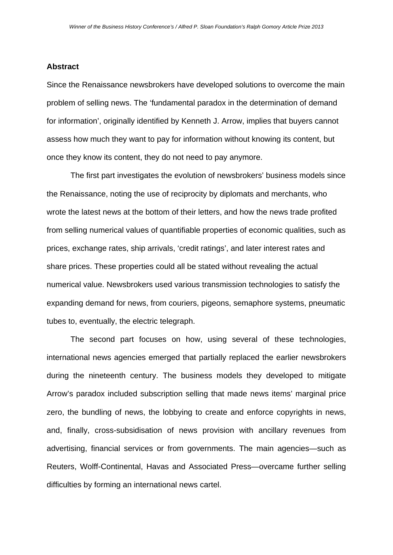## **Abstract**

Since the Renaissance newsbrokers have developed solutions to overcome the main problem of selling news. The 'fundamental paradox in the determination of demand for information', originally identified by Kenneth J. Arrow, implies that buyers cannot assess how much they want to pay for information without knowing its content, but once they know its content, they do not need to pay anymore.

 The first part investigates the evolution of newsbrokers' business models since the Renaissance, noting the use of reciprocity by diplomats and merchants, who wrote the latest news at the bottom of their letters, and how the news trade profited from selling numerical values of quantifiable properties of economic qualities, such as prices, exchange rates, ship arrivals, 'credit ratings', and later interest rates and share prices. These properties could all be stated without revealing the actual numerical value. Newsbrokers used various transmission technologies to satisfy the expanding demand for news, from couriers, pigeons, semaphore systems, pneumatic tubes to, eventually, the electric telegraph.

 The second part focuses on how, using several of these technologies, international news agencies emerged that partially replaced the earlier newsbrokers during the nineteenth century. The business models they developed to mitigate Arrow's paradox included subscription selling that made news items' marginal price zero, the bundling of news, the lobbying to create and enforce copyrights in news, and, finally, cross-subsidisation of news provision with ancillary revenues from advertising, financial services or from governments. The main agencies—such as Reuters, Wolff-Continental, Havas and Associated Press—overcame further selling difficulties by forming an international news cartel.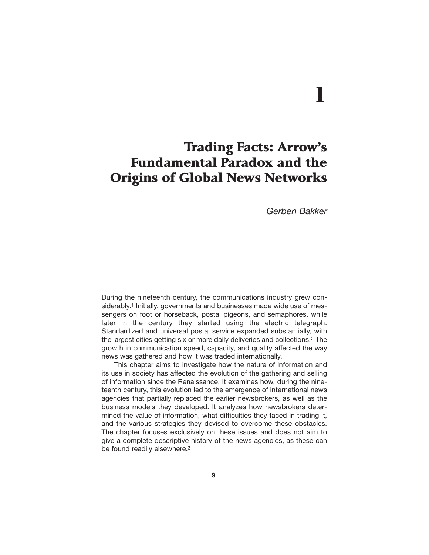# 1

## Trading Facts: Arrow's Fundamental Paradox and the Origins of Global News Networks

*Gerben Bakker*

During the nineteenth century, the communications industry grew considerably.<sup>1</sup> Initially, governments and businesses made wide use of messengers on foot or horseback, postal pigeons, and semaphores, while later in the century they started using the electric telegraph. Standardized and universal postal service expanded substantially, with the largest cities getting six or more daily deliveries and collections.2 The growth in communication speed, capacity, and quality affected the way news was gathered and how it was traded internationally.

This chapter aims to investigate how the nature of information and its use in society has affected the evolution of the gathering and selling of information since the Renaissance. It examines how, during the nineteenth century, this evolution led to the emergence of international news agencies that partially replaced the earlier newsbrokers, as well as the business models they developed. It analyzes how newsbrokers determined the value of information, what difficulties they faced in trading it, and the various strategies they devised to overcome these obstacles. The chapter focuses exclusively on these issues and does not aim to give a complete descriptive history of the news agencies, as these can be found readily elsewhere.3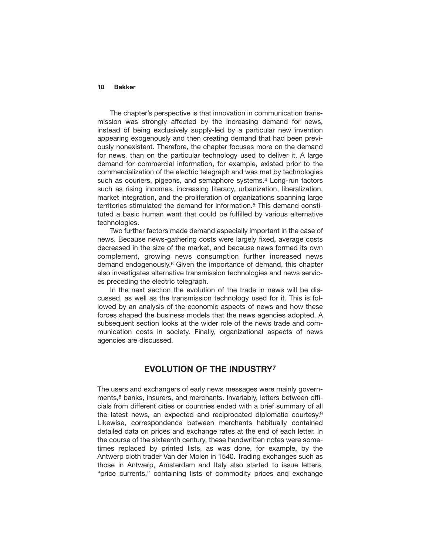The chapter's perspective is that innovation in communication transmission was strongly affected by the increasing demand for news, instead of being exclusively supply-led by a particular new invention appearing exogenously and then creating demand that had been previously nonexistent. Therefore, the chapter focuses more on the demand for news, than on the particular technology used to deliver it. A large demand for commercial information, for example, existed prior to the commercialization of the electric telegraph and was met by technologies such as couriers, pigeons, and semaphore systems.<sup>4</sup> Long-run factors such as rising incomes, increasing literacy, urbanization, liberalization, market integration, and the proliferation of organizations spanning large territories stimulated the demand for information.5 This demand constituted a basic human want that could be fulfilled by various alternative technologies.

Two further factors made demand especially important in the case of news. Because news-gathering costs were largely fixed, average costs decreased in the size of the market, and because news formed its own complement, growing news consumption further increased news demand endogenously.6 Given the importance of demand, this chapter also investigates alternative transmission technologies and news services preceding the electric telegraph.

In the next section the evolution of the trade in news will be discussed, as well as the transmission technology used for it. This is followed by an analysis of the economic aspects of news and how these forces shaped the business models that the news agencies adopted. A subsequent section looks at the wider role of the news trade and communication costs in society. Finally, organizational aspects of news agencies are discussed.

## **EVOLUTION OF THE INDUSTRY7**

The users and exchangers of early news messages were mainly governments,<sup>8</sup> banks, insurers, and merchants. Invariably, letters between officials from different cities or countries ended with a brief summary of all the latest news, an expected and reciprocated diplomatic courtesy.9 Likewise, correspondence between merchants habitually contained detailed data on prices and exchange rates at the end of each letter. In the course of the sixteenth century, these handwritten notes were sometimes replaced by printed lists, as was done, for example, by the Antwerp cloth trader Van der Molen in 1540. Trading exchanges such as those in Antwerp, Amsterdam and Italy also started to issue letters, "price currents," containing lists of commodity prices and exchange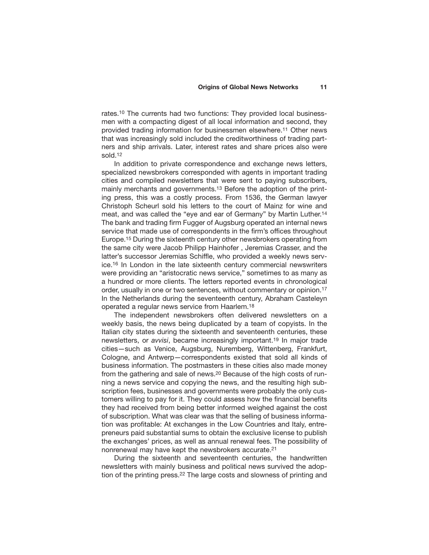rates.10 The currents had two functions: They provided local businessmen with a compacting digest of all local information and second, they provided trading information for businessmen elsewhere.11 Other news that was increasingly sold included the creditworthiness of trading partners and ship arrivals. Later, interest rates and share prices also were sold.12

In addition to private correspondence and exchange news letters, specialized newsbrokers corresponded with agents in important trading cities and compiled newsletters that were sent to paying subscribers, mainly merchants and governments.13 Before the adoption of the printing press, this was a costly process. From 1536, the German lawyer Christoph Scheurl sold his letters to the court of Mainz for wine and meat, and was called the "eye and ear of Germany" by Martin Luther.14 The bank and trading firm Fugger of Augsburg operated an internal news service that made use of correspondents in the firm's offices throughout Europe.15 During the sixteenth century other newsbrokers operating from the same city were Jacob Philipp Hainhofer , Jeremias Crasser, and the latter's successor Jeremias Schiffle, who provided a weekly news service.16 In London in the late sixteenth century commercial newswriters were providing an "aristocratic news service," sometimes to as many as a hundred or more clients. The letters reported events in chronological order, usually in one or two sentences, without commentary or opinion.17 In the Netherlands during the seventeenth century, Abraham Casteleyn operated a regular news service from Haarlem.18

The independent newsbrokers often delivered newsletters on a weekly basis, the news being duplicated by a team of copyists. In the Italian city states during the sixteenth and seventeenth centuries, these newsletters, or *avvisi*, became increasingly important.19 In major trade cities—such as Venice, Augsburg, Nuremberg, Wittenberg, Frankfurt, Cologne, and Antwerp—correspondents existed that sold all kinds of business information. The postmasters in these cities also made money from the gathering and sale of news.20 Because of the high costs of running a news service and copying the news, and the resulting high subscription fees, businesses and governments were probably the only customers willing to pay for it. They could assess how the financial benefits they had received from being better informed weighed against the cost of subscription. What was clear was that the selling of business information was profitable: At exchanges in the Low Countries and Italy, entrepreneurs paid substantial sums to obtain the exclusive license to publish the exchanges' prices, as well as annual renewal fees. The possibility of nonrenewal may have kept the newsbrokers accurate.21

During the sixteenth and seventeenth centuries, the handwritten newsletters with mainly business and political news survived the adoption of the printing press.<sup>22</sup> The large costs and slowness of printing and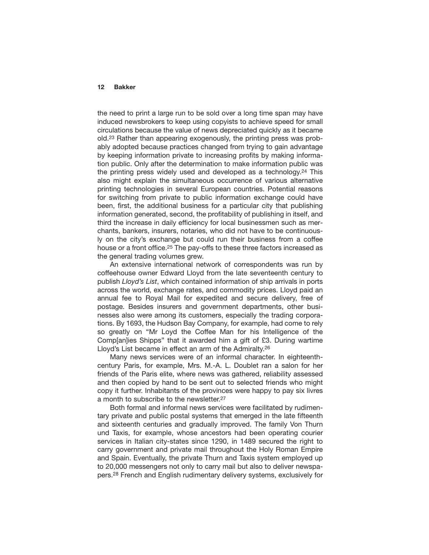the need to print a large run to be sold over a long time span may have induced newsbrokers to keep using copyists to achieve speed for small circulations because the value of news depreciated quickly as it became old.23 Rather than appearing exogenously, the printing press was probably adopted because practices changed from trying to gain advantage by keeping information private to increasing profits by making information public. Only after the determination to make information public was the printing press widely used and developed as a technology.24 This also might explain the simultaneous occurrence of various alternative printing technologies in several European countries. Potential reasons for switching from private to public information exchange could have been, first, the additional business for a particular city that publishing information generated, second, the profitability of publishing in itself, and third the increase in daily efficiency for local businessmen such as merchants, bankers, insurers, notaries, who did not have to be continuously on the city's exchange but could run their business from a coffee house or a front office.<sup>25</sup> The pay-offs to these three factors increased as the general trading volumes grew.

An extensive international network of correspondents was run by coffeehouse owner Edward Lloyd from the late seventeenth century to publish *Lloyd's List*, which contained information of ship arrivals in ports across the world, exchange rates, and commodity prices. Lloyd paid an annual fee to Royal Mail for expedited and secure delivery, free of postage. Besides insurers and government departments, other businesses also were among its customers, especially the trading corporations. By 1693, the Hudson Bay Company, for example, had come to rely so greatly on "Mr Loyd the Coffee Man for his Intelligence of the Comp[an]ies Shipps" that it awarded him a gift of £3. During wartime Lloyd's List became in effect an arm of the Admiralty.26

Many news services were of an informal character. In eighteenthcentury Paris, for example, Mrs. M.-A. L. Doublet ran a salon for her friends of the Paris elite, where news was gathered, reliability assessed and then copied by hand to be sent out to selected friends who might copy it further. Inhabitants of the provinces were happy to pay six livres a month to subscribe to the newsletter.27

Both formal and informal news services were facilitated by rudimentary private and public postal systems that emerged in the late fifteenth and sixteenth centuries and gradually improved. The family Von Thurn und Taxis, for example, whose ancestors had been operating courier services in Italian city-states since 1290, in 1489 secured the right to carry government and private mail throughout the Holy Roman Empire and Spain. Eventually, the private Thurn and Taxis system employed up to 20,000 messengers not only to carry mail but also to deliver newspapers.28 French and English rudimentary delivery systems, exclusively for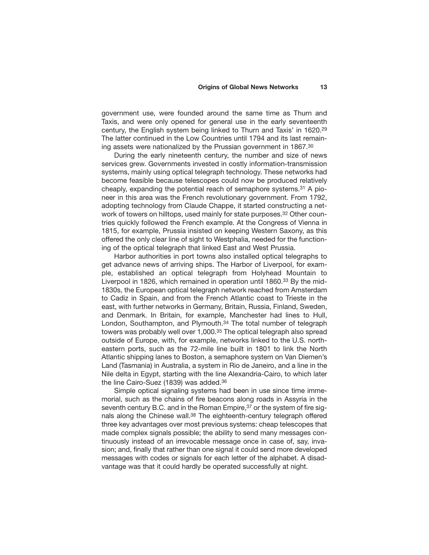government use, were founded around the same time as Thurn and Taxis, and were only opened for general use in the early seventeenth century, the English system being linked to Thurn and Taxis' in 1620.29 The latter continued in the Low Countries until 1794 and its last remaining assets were nationalized by the Prussian government in 1867.30

During the early nineteenth century, the number and size of news services grew. Governments invested in costly information-transmission systems, mainly using optical telegraph technology. These networks had become feasible because telescopes could now be produced relatively cheaply, expanding the potential reach of semaphore systems.31 A pioneer in this area was the French revolutionary government. From 1792, adopting technology from Claude Chappe, it started constructing a network of towers on hilltops, used mainly for state purposes.<sup>32</sup> Other countries quickly followed the French example. At the Congress of Vienna in 1815, for example, Prussia insisted on keeping Western Saxony, as this offered the only clear line of sight to Westphalia, needed for the functioning of the optical telegraph that linked East and West Prussia.

Harbor authorities in port towns also installed optical telegraphs to get advance news of arriving ships. The Harbor of Liverpool, for example, established an optical telegraph from Holyhead Mountain to Liverpool in 1826, which remained in operation until 1860.<sup>33</sup> By the mid-1830s, the European optical telegraph network reached from Amsterdam to Cadiz in Spain, and from the French Atlantic coast to Trieste in the east, with further networks in Germany, Britain, Russia, Finland, Sweden, and Denmark. In Britain, for example, Manchester had lines to Hull, London, Southampton, and Plymouth.<sup>34</sup> The total number of telegraph towers was probably well over 1,000.<sup>35</sup> The optical telegraph also spread outside of Europe, with, for example, networks linked to the U.S. northeastern ports, such as the 72-mile line built in 1801 to link the North Atlantic shipping lanes to Boston, a semaphore system on Van Diemen's Land (Tasmania) in Australia, a system in Rio de Janeiro, and a line in the Nile delta in Egypt, starting with the line Alexandria-Cairo, to which later the line Cairo-Suez (1839) was added.36

Simple optical signaling systems had been in use since time immemorial, such as the chains of fire beacons along roads in Assyria in the seventh century B.C. and in the Roman Empire,<sup>37</sup> or the system of fire signals along the Chinese wall.38 The eighteenth-century telegraph offered three key advantages over most previous systems: cheap telescopes that made complex signals possible; the ability to send many messages continuously instead of an irrevocable message once in case of, say, invasion; and, finally that rather than one signal it could send more developed messages with codes or signals for each letter of the alphabet. A disadvantage was that it could hardly be operated successfully at night.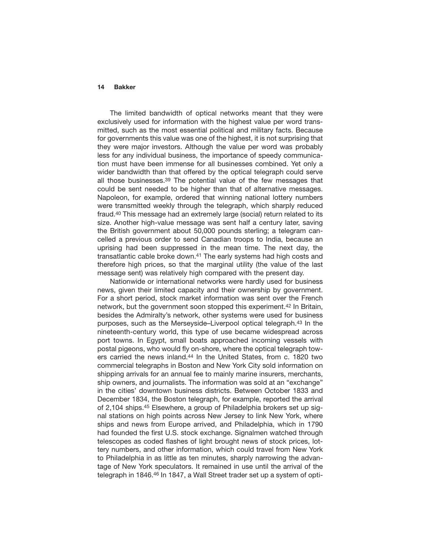The limited bandwidth of optical networks meant that they were exclusively used for information with the highest value per word transmitted, such as the most essential political and military facts. Because for governments this value was one of the highest, it is not surprising that they were major investors. Although the value per word was probably less for any individual business, the importance of speedy communication must have been immense for all businesses combined. Yet only a wider bandwidth than that offered by the optical telegraph could serve all those businesses.39 The potential value of the few messages that could be sent needed to be higher than that of alternative messages. Napoleon, for example, ordered that winning national lottery numbers were transmitted weekly through the telegraph, which sharply reduced fraud.40 This message had an extremely large (social) return related to its size. Another high-value message was sent half a century later, saving the British government about 50,000 pounds sterling; a telegram cancelled a previous order to send Canadian troops to India, because an uprising had been suppressed in the mean time. The next day, the transatlantic cable broke down.41 The early systems had high costs and therefore high prices, so that the marginal utility (the value of the last message sent) was relatively high compared with the present day.

Nationwide or international networks were hardly used for business news, given their limited capacity and their ownership by government. For a short period, stock market information was sent over the French network, but the government soon stopped this experiment.42 In Britain, besides the Admiralty's network, other systems were used for business purposes, such as the Merseyside–Liverpool optical telegraph.43 In the nineteenth-century world, this type of use became widespread across port towns. In Egypt, small boats approached incoming vessels with postal pigeons, who would fly on-shore, where the optical telegraph towers carried the news inland.44 In the United States, from c. 1820 two commercial telegraphs in Boston and New York City sold information on shipping arrivals for an annual fee to mainly marine insurers, merchants, ship owners, and journalists. The information was sold at an "exchange" in the cities' downtown business districts. Between October 1833 and December 1834, the Boston telegraph, for example, reported the arrival of 2,104 ships.45 Elsewhere, a group of Philadelphia brokers set up signal stations on high points across New Jersey to link New York, where ships and news from Europe arrived, and Philadelphia, which in 1790 had founded the first U.S. stock exchange. Signalmen watched through telescopes as coded flashes of light brought news of stock prices, lottery numbers, and other information, which could travel from New York to Philadelphia in as little as ten minutes, sharply narrowing the advantage of New York speculators. It remained in use until the arrival of the telegraph in 1846.46 In 1847, a Wall Street trader set up a system of opti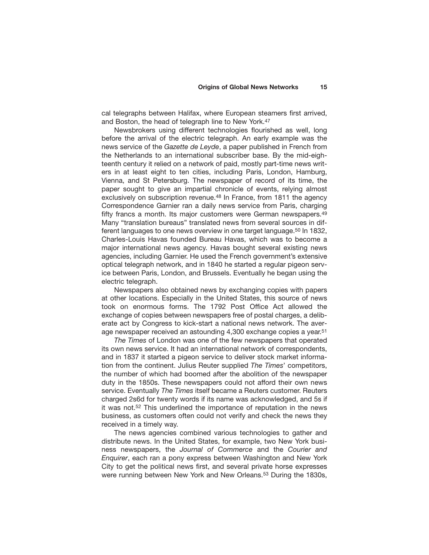cal telegraphs between Halifax, where European steamers first arrived, and Boston, the head of telegraph line to New York.47

Newsbrokers using different technologies flourished as well, long before the arrival of the electric telegraph. An early example was the news service of the *Gazette de Leyde*, a paper published in French from the Netherlands to an international subscriber base. By the mid-eighteenth century it relied on a network of paid, mostly part-time news writers in at least eight to ten cities, including Paris, London, Hamburg, Vienna, and St Petersburg. The newspaper of record of its time, the paper sought to give an impartial chronicle of events, relying almost exclusively on subscription revenue.<sup>48</sup> In France, from 1811 the agency Correspondence Garnier ran a daily news service from Paris, charging fifty francs a month. Its major customers were German newspapers.<sup>49</sup> Many "translation bureaus" translated news from several sources in different languages to one news overview in one target language.50 In 1832, Charles-Louis Havas founded Bureau Havas, which was to become a major international news agency. Havas bought several existing news agencies, including Garnier. He used the French government's extensive optical telegraph network, and in 1840 he started a regular pigeon service between Paris, London, and Brussels. Eventually he began using the electric telegraph.

Newspapers also obtained news by exchanging copies with papers at other locations. Especially in the United States, this source of news took on enormous forms. The 1792 Post Office Act allowed the exchange of copies between newspapers free of postal charges, a deliberate act by Congress to kick-start a national news network. The average newspaper received an astounding 4,300 exchange copies a year.51

*The Times* of London was one of the few newspapers that operated its own news service. It had an international network of correspondents, and in 1837 it started a pigeon service to deliver stock market information from the continent. Julius Reuter supplied *The Times*' competitors, the number of which had boomed after the abolition of the newspaper duty in the 1850s. These newspapers could not afford their own news service. Eventually *The Times* itself became a Reuters customer. Reuters charged 2s6d for twenty words if its name was acknowledged, and 5s if it was not.<sup>52</sup> This underlined the importance of reputation in the news business, as customers often could not verify and check the news they received in a timely way.

The news agencies combined various technologies to gather and distribute news. In the United States, for example, two New York business newspapers, the *Journal of Commerce* and the *Courier and Enquirer*, each ran a pony express between Washington and New York City to get the political news first, and several private horse expresses were running between New York and New Orleans.53 During the 1830s,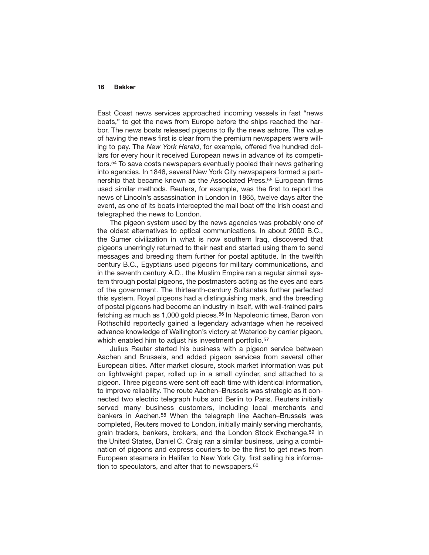East Coast news services approached incoming vessels in fast "news boats," to get the news from Europe before the ships reached the harbor. The news boats released pigeons to fly the news ashore. The value of having the news first is clear from the premium newspapers were willing to pay. The *New York Herald*, for example, offered five hundred dollars for every hour it received European news in advance of its competitors.54 To save costs newspapers eventually pooled their news gathering into agencies. In 1846, several New York City newspapers formed a partnership that became known as the Associated Press.55 European firms used similar methods. Reuters, for example, was the first to report the news of Lincoln's assassination in London in 1865, twelve days after the event, as one of its boats intercepted the mail boat off the Irish coast and telegraphed the news to London.

The pigeon system used by the news agencies was probably one of the oldest alternatives to optical communications. In about 2000 B.C., the Sumer civilization in what is now southern Iraq, discovered that pigeons unerringly returned to their nest and started using them to send messages and breeding them further for postal aptitude. In the twelfth century B.C., Egyptians used pigeons for military communications, and in the seventh century A.D., the Muslim Empire ran a regular airmail system through postal pigeons, the postmasters acting as the eyes and ears of the government. The thirteenth-century Sultanates further perfected this system. Royal pigeons had a distinguishing mark, and the breeding of postal pigeons had become an industry in itself, with well-trained pairs fetching as much as 1,000 gold pieces.56 In Napoleonic times, Baron von Rothschild reportedly gained a legendary advantage when he received advance knowledge of Wellington's victory at Waterloo by carrier pigeon, which enabled him to adjust his investment portfolio.<sup>57</sup>

Julius Reuter started his business with a pigeon service between Aachen and Brussels, and added pigeon services from several other European cities. After market closure, stock market information was put on lightweight paper, rolled up in a small cylinder, and attached to a pigeon. Three pigeons were sent off each time with identical information, to improve reliability. The route Aachen–Brussels was strategic as it connected two electric telegraph hubs and Berlin to Paris. Reuters initially served many business customers, including local merchants and bankers in Aachen.58 When the telegraph line Aachen–Brussels was completed, Reuters moved to London, initially mainly serving merchants, grain traders, bankers, brokers, and the London Stock Exchange.59 In the United States, Daniel C. Craig ran a similar business, using a combination of pigeons and express couriers to be the first to get news from European steamers in Halifax to New York City, first selling his information to speculators, and after that to newspapers.<sup>60</sup>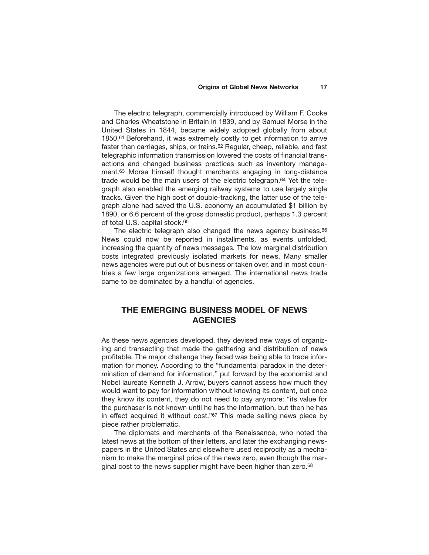The electric telegraph, commercially introduced by William F. Cooke and Charles Wheatstone in Britain in 1839, and by Samuel Morse in the United States in 1844, became widely adopted globally from about 1850.61 Beforehand, it was extremely costly to get information to arrive faster than carriages, ships, or trains.62 Regular, cheap, reliable, and fast telegraphic information transmission lowered the costs of financial transactions and changed business practices such as inventory management.63 Morse himself thought merchants engaging in long-distance trade would be the main users of the electric telegraph.64 Yet the telegraph also enabled the emerging railway systems to use largely single tracks. Given the high cost of double-tracking, the latter use of the telegraph alone had saved the U.S. economy an accumulated \$1 billion by 1890, or 6.6 percent of the gross domestic product, perhaps 1.3 percent of total U.S. capital stock.65

The electric telegraph also changed the news agency business.<sup>66</sup> News could now be reported in installments, as events unfolded, increasing the quantity of news messages. The low marginal distribution costs integrated previously isolated markets for news. Many smaller news agencies were put out of business or taken over, and in most countries a few large organizations emerged. The international news trade came to be dominated by a handful of agencies.

## **THE EMERGING BUSINESS MODEL OF NEWS AGENCIES**

As these news agencies developed, they devised new ways of organizing and transacting that made the gathering and distribution of news profitable. The major challenge they faced was being able to trade information for money. According to the "fundamental paradox in the determination of demand for information," put forward by the economist and Nobel laureate Kenneth J. Arrow, buyers cannot assess how much they would want to pay for information without knowing its content, but once they know its content, they do not need to pay anymore: "its value for the purchaser is not known until he has the information, but then he has in effect acquired it without cost."67 This made selling news piece by piece rather problematic.

The diplomats and merchants of the Renaissance, who noted the latest news at the bottom of their letters, and later the exchanging newspapers in the United States and elsewhere used reciprocity as a mechanism to make the marginal price of the news zero, even though the marginal cost to the news supplier might have been higher than zero.<sup>68</sup>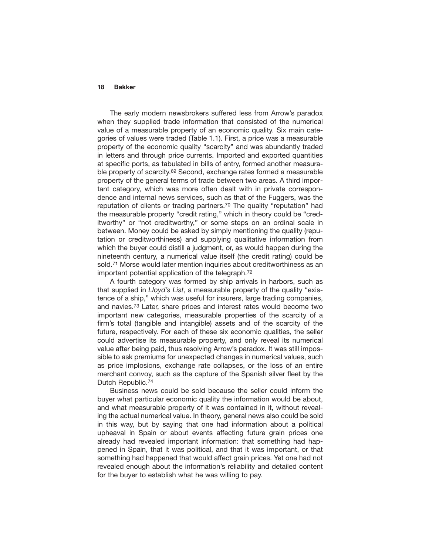The early modern newsbrokers suffered less from Arrow's paradox when they supplied trade information that consisted of the numerical value of a measurable property of an economic quality. Six main categories of values were traded (Table 1.1). First, a price was a measurable property of the economic quality "scarcity" and was abundantly traded in letters and through price currents. Imported and exported quantities at specific ports, as tabulated in bills of entry, formed another measurable property of scarcity.69 Second, exchange rates formed a measurable property of the general terms of trade between two areas. A third important category, which was more often dealt with in private correspondence and internal news services, such as that of the Fuggers, was the reputation of clients or trading partners.<sup>70</sup> The quality "reputation" had the measurable property "credit rating," which in theory could be "creditworthy" or "not creditworthy," or some steps on an ordinal scale in between. Money could be asked by simply mentioning the quality (reputation or creditworthiness) and supplying qualitative information from which the buyer could distill a judgment, or, as would happen during the nineteenth century, a numerical value itself (the credit rating) could be sold.71 Morse would later mention inquiries about creditworthiness as an important potential application of the telegraph.72

A fourth category was formed by ship arrivals in harbors, such as that supplied in *Lloyd's List*, a measurable property of the quality "existence of a ship," which was useful for insurers, large trading companies, and navies.73 Later, share prices and interest rates would become two important new categories, measurable properties of the scarcity of a firm's total (tangible and intangible) assets and of the scarcity of the future, respectively. For each of these six economic qualities, the seller could advertise its measurable property, and only reveal its numerical value after being paid, thus resolving Arrow's paradox. It was still impossible to ask premiums for unexpected changes in numerical values, such as price implosions, exchange rate collapses, or the loss of an entire merchant convoy, such as the capture of the Spanish silver fleet by the Dutch Republic.74

Business news could be sold because the seller could inform the buyer what particular economic quality the information would be about, and what measurable property of it was contained in it, without revealing the actual numerical value. In theory, general news also could be sold in this way, but by saying that one had information about a political upheaval in Spain or about events affecting future grain prices one already had revealed important information: that something had happened in Spain, that it was political, and that it was important, or that something had happened that would affect grain prices. Yet one had not revealed enough about the information's reliability and detailed content for the buyer to establish what he was willing to pay.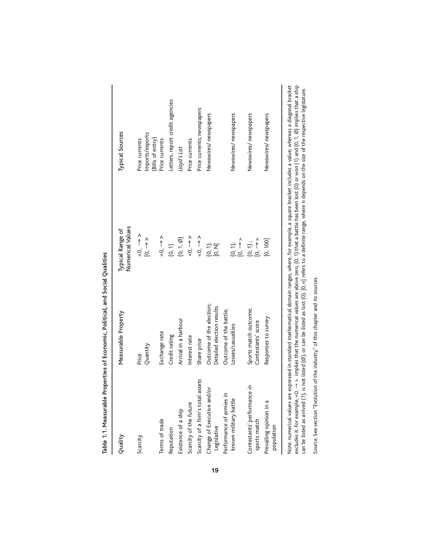| <b>Processing the State</b>                          |                                                       |                                                              |                                                                                                                                                                                                                               |
|------------------------------------------------------|-------------------------------------------------------|--------------------------------------------------------------|-------------------------------------------------------------------------------------------------------------------------------------------------------------------------------------------------------------------------------|
| Quality                                              | Measurable Property                                   | Numerical Values<br><b>Typical Range of</b>                  | <b>Typical Sources</b>                                                                                                                                                                                                        |
| Scarcity                                             | Quantity<br>Price                                     | $\leq 0, \Rightarrow$<br>$\frac{1}{2}$                       | Imports/exports<br>(Bills of entry)<br>Price currents                                                                                                                                                                         |
| Terms of trade                                       | Exchange rate                                         | $\leq 0, \Rightarrow$                                        | Price currents                                                                                                                                                                                                                |
| Reputation                                           | Credit rating                                         | $\begin{pmatrix} 0 & 1 \end{pmatrix}$                        | Letters, report credit agencies                                                                                                                                                                                               |
| Existence of a ship                                  | Arrival in a harbour                                  | $\{0, 1, \emptyset\}$                                        | Lloyd's List                                                                                                                                                                                                                  |
| Scarcity of the future                               | Interest rate                                         | $\sim$ 0, $\rightarrow$ $\sim$                               | Price currents                                                                                                                                                                                                                |
| Scarcity of a firm's total assets                    | Share price                                           | $\leq 0, \Rightarrow$                                        | Price currents; newspapers                                                                                                                                                                                                    |
| Change of Executive and/or<br>Legislative            | Outcome of the election;<br>Detailed election results | ት<br>5<br>5                                                  | Newswires/ newspapers                                                                                                                                                                                                         |
| ≘.<br>known military battle<br>Performance of armies | Outcome of the battle;<br>Losses/casualties           | $\overline{0}$ , $\rightarrow$ $\rightarrow$<br>$\{0, 1\}$ ; | Newswires/ newspapers                                                                                                                                                                                                         |
| Contestants' performance in<br>sports match          | Sports match outcome;<br>Contestants' score           | $[0, \rightarrow)$<br>$\{0, 1\}$ ;                           | Newswires/ newspapers                                                                                                                                                                                                         |
| Prevailing opinion in a<br>population                | Responses to survey                                   | [0, 100]                                                     | Newswires/ newspapers                                                                                                                                                                                                         |
| . ممراط امراد منتصر منطوا Alata                      |                                                       |                                                              | to in the second local defined and the change of another communication in the contract of the contract of the communication of the contract of the contract of the contract of the contract of the contract of the contract o |

**19**

Table 1.1. Measurable Properties of Economic. Political. and Social Qualities **Table 1.1. Measurable Properties of Economic, Political, and Social Qualities**  Note. numerical values are expressed in standard mathematical domain ranges, where, for example, a square bracket includes a value; whereas a diagonal bracket<br>excludes it. For example, <0, -> > implies that the numerical Note. numerical values are expressed in standard mathematical domain ranges, where, for example, a square bracket includes a value; whereas a diagonal bracket excludes it. For example,  $<$  0,  $\rightarrow$  > implies that the numerical values are above zero, {0, 1} that a battle has been lost (0) or won (1) and {0, 1, Ø} implies that a ship can be listed as arrived (1), is not listed (Ø), or can be listed as lost (0). [0, n] refers to a definite range, where n depends on the size of the respective legislature.

Source. See section "Evolution of the industry" of this chapter and its sources. Source. See section "Evolution of the industry" of this chapter and its sources.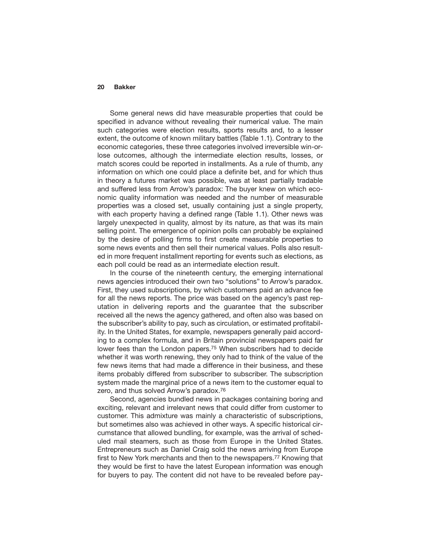Some general news did have measurable properties that could be specified in advance without revealing their numerical value. The main such categories were election results, sports results and, to a lesser extent, the outcome of known military battles (Table 1.1). Contrary to the economic categories, these three categories involved irreversible win-orlose outcomes, although the intermediate election results, losses, or match scores could be reported in installments. As a rule of thumb, any information on which one could place a definite bet, and for which thus in theory a futures market was possible, was at least partially tradable and suffered less from Arrow's paradox: The buyer knew on which economic quality information was needed and the number of measurable properties was a closed set, usually containing just a single property, with each property having a defined range (Table 1.1). Other news was largely unexpected in quality, almost by its nature, as that was its main selling point. The emergence of opinion polls can probably be explained by the desire of polling firms to first create measurable properties to some news events and then sell their numerical values. Polls also resulted in more frequent installment reporting for events such as elections, as each poll could be read as an intermediate election result.

In the course of the nineteenth century, the emerging international news agencies introduced their own two "solutions" to Arrow's paradox. First, they used subscriptions, by which customers paid an advance fee for all the news reports. The price was based on the agency's past reputation in delivering reports and the guarantee that the subscriber received all the news the agency gathered, and often also was based on the subscriber's ability to pay, such as circulation, or estimated profitability. In the United States, for example, newspapers generally paid according to a complex formula, and in Britain provincial newspapers paid far lower fees than the London papers.<sup>75</sup> When subscribers had to decide whether it was worth renewing, they only had to think of the value of the few news items that had made a difference in their business, and these items probably differed from subscriber to subscriber. The subscription system made the marginal price of a news item to the customer equal to zero, and thus solved Arrow's paradox.76

Second, agencies bundled news in packages containing boring and exciting, relevant and irrelevant news that could differ from customer to customer. This admixture was mainly a characteristic of subscriptions, but sometimes also was achieved in other ways. A specific historical circumstance that allowed bundling, for example, was the arrival of scheduled mail steamers, such as those from Europe in the United States. Entrepreneurs such as Daniel Craig sold the news arriving from Europe first to New York merchants and then to the newspapers.<sup>77</sup> Knowing that they would be first to have the latest European information was enough for buyers to pay. The content did not have to be revealed before pay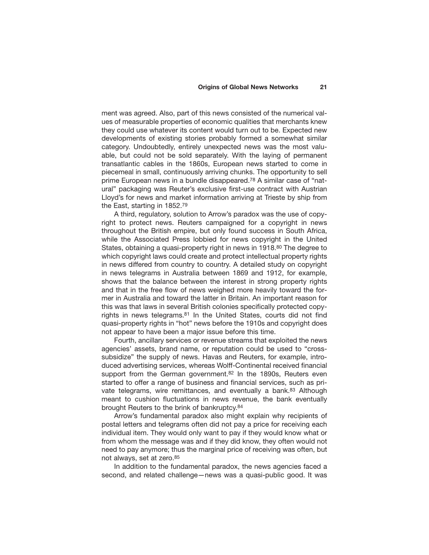ment was agreed. Also, part of this news consisted of the numerical values of measurable properties of economic qualities that merchants knew they could use whatever its content would turn out to be. Expected new developments of existing stories probably formed a somewhat similar category. Undoubtedly, entirely unexpected news was the most valuable, but could not be sold separately. With the laying of permanent transatlantic cables in the 1860s, European news started to come in piecemeal in small, continuously arriving chunks. The opportunity to sell prime European news in a bundle disappeared.78 A similar case of "natural" packaging was Reuter's exclusive first-use contract with Austrian Lloyd's for news and market information arriving at Trieste by ship from the East, starting in 1852.79

A third, regulatory, solution to Arrow's paradox was the use of copyright to protect news. Reuters campaigned for a copyright in news throughout the British empire, but only found success in South Africa, while the Associated Press lobbied for news copyright in the United States, obtaining a quasi-property right in news in 1918.<sup>80</sup> The degree to which copyright laws could create and protect intellectual property rights in news differed from country to country. A detailed study on copyright in news telegrams in Australia between 1869 and 1912, for example, shows that the balance between the interest in strong property rights and that in the free flow of news weighed more heavily toward the former in Australia and toward the latter in Britain. An important reason for this was that laws in several British colonies specifically protected copyrights in news telegrams.<sup>81</sup> In the United States, courts did not find quasi-property rights in "hot" news before the 1910s and copyright does not appear to have been a major issue before this time.

Fourth, ancillary services or revenue streams that exploited the news agencies' assets, brand name, or reputation could be used to "crosssubsidize" the supply of news. Havas and Reuters, for example, introduced advertising services, whereas Wolff-Continental received financial support from the German government.<sup>82</sup> In the 1890s, Reuters even started to offer a range of business and financial services, such as private telegrams, wire remittances, and eventually a bank.<sup>83</sup> Although meant to cushion fluctuations in news revenue, the bank eventually brought Reuters to the brink of bankruptcy.84

Arrow's fundamental paradox also might explain why recipients of postal letters and telegrams often did not pay a price for receiving each individual item. They would only want to pay if they would know what or from whom the message was and if they did know, they often would not need to pay anymore; thus the marginal price of receiving was often, but not always, set at zero.85

In addition to the fundamental paradox, the news agencies faced a second, and related challenge—news was a quasi-public good. It was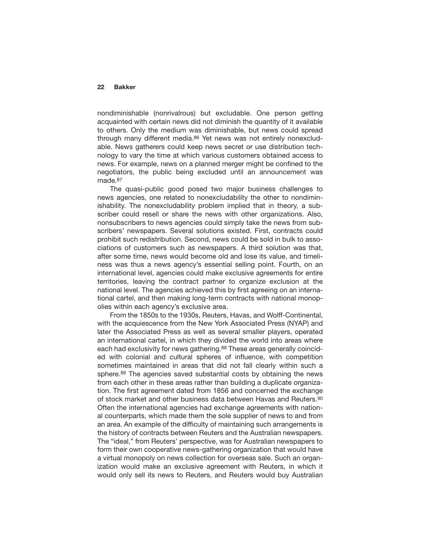nondiminishable (nonrivalrous) but excludable. One person getting acquainted with certain news did not diminish the quantity of it available to others. Only the medium was diminishable, but news could spread through many different media.<sup>86</sup> Yet news was not entirely nonexcludable. News gatherers could keep news secret or use distribution technology to vary the time at which various customers obtained access to news. For example, news on a planned merger might be confined to the negotiators, the public being excluded until an announcement was made.87

The quasi-public good posed two major business challenges to news agencies, one related to nonexcludability the other to nondiminishability. The nonexcludability problem implied that in theory, a subscriber could resell or share the news with other organizations. Also, nonsubscribers to news agencies could simply take the news from subscribers' newspapers. Several solutions existed. First, contracts could prohibit such redistribution. Second, news could be sold in bulk to associations of customers such as newspapers. A third solution was that, after some time, news would become old and lose its value, and timeliness was thus a news agency's essential selling point. Fourth, on an international level, agencies could make exclusive agreements for entire territories, leaving the contract partner to organize exclusion at the national level. The agencies achieved this by first agreeing on an international cartel, and then making long-term contracts with national monopolies within each agency's exclusive area.

From the 1850s to the 1930s, Reuters, Havas, and Wolff-Continental, with the acquiescence from the New York Associated Press (NYAP) and later the Associated Press as well as several smaller players, operated an international cartel, in which they divided the world into areas where each had exclusivity for news gathering.<sup>88</sup> These areas generally coincided with colonial and cultural spheres of influence, with competition sometimes maintained in areas that did not fall clearly within such a sphere.<sup>89</sup> The agencies saved substantial costs by obtaining the news from each other in these areas rather than building a duplicate organization. The first agreement dated from 1856 and concerned the exchange of stock market and other business data between Havas and Reuters.90 Often the international agencies had exchange agreements with national counterparts, which made them the sole supplier of news to and from an area. An example of the difficulty of maintaining such arrangements is the history of contracts between Reuters and the Australian newspapers. The "ideal," from Reuters' perspective, was for Australian newspapers to form their own cooperative news-gathering organization that would have a virtual monopoly on news collection for overseas sale. Such an organization would make an exclusive agreement with Reuters, in which it would only sell its news to Reuters, and Reuters would buy Australian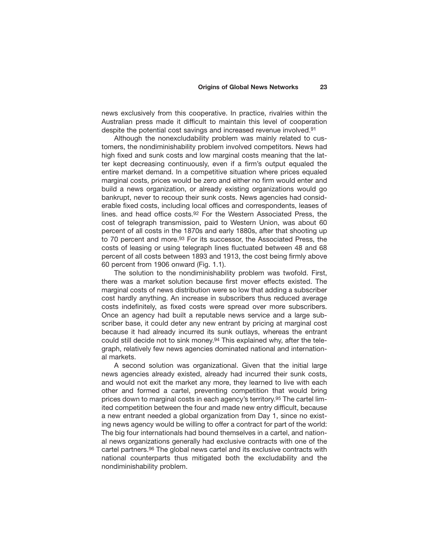news exclusively from this cooperative. In practice, rivalries within the Australian press made it difficult to maintain this level of cooperation despite the potential cost savings and increased revenue involved.91

Although the nonexcludability problem was mainly related to customers, the nondiminishability problem involved competitors. News had high fixed and sunk costs and low marginal costs meaning that the latter kept decreasing continuously, even if a firm's output equaled the entire market demand. In a competitive situation where prices equaled marginal costs, prices would be zero and either no firm would enter and build a news organization, or already existing organizations would go bankrupt, never to recoup their sunk costs. News agencies had considerable fixed costs, including local offices and correspondents, leases of lines. and head office costs.92 For the Western Associated Press, the cost of telegraph transmission, paid to Western Union, was about 60 percent of all costs in the 1870s and early 1880s, after that shooting up to 70 percent and more.<sup>93</sup> For its successor, the Associated Press, the costs of leasing or using telegraph lines fluctuated between 48 and 68 percent of all costs between 1893 and 1913, the cost being firmly above 60 percent from 1906 onward (Fig. 1.1).

The solution to the nondiminishability problem was twofold. First, there was a market solution because first mover effects existed. The marginal costs of news distribution were so low that adding a subscriber cost hardly anything. An increase in subscribers thus reduced average costs indefinitely, as fixed costs were spread over more subscribers. Once an agency had built a reputable news service and a large subscriber base, it could deter any new entrant by pricing at marginal cost because it had already incurred its sunk outlays, whereas the entrant could still decide not to sink money.94 This explained why, after the telegraph, relatively few news agencies dominated national and international markets.

A second solution was organizational. Given that the initial large news agencies already existed, already had incurred their sunk costs, and would not exit the market any more, they learned to live with each other and formed a cartel, preventing competition that would bring prices down to marginal costs in each agency's territory.95 The cartel limited competition between the four and made new entry difficult, because a new entrant needed a global organization from Day 1, since no existing news agency would be willing to offer a contract for part of the world: The big four internationals had bound themselves in a cartel, and national news organizations generally had exclusive contracts with one of the cartel partners.96 The global news cartel and its exclusive contracts with national counterparts thus mitigated both the excludability and the nondiminishability problem.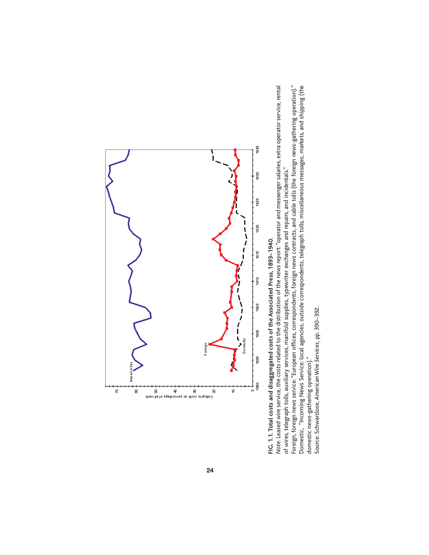

FIG. 1.1. Total costs and disaggregated costs of the Associated Press, 1893-1940. **FIG. 1.1. Total costs and disaggregated costs of the Associated Press, 1893–1940.**

Note. Leased wire service, the costs related to the distribution of the news report: "operator and messenger salaries, extra operator service, rental *Note*. Leased wire service, the costs related to the distribution of the news report: "operator and messenger salaries, extra operator service, rental of wires, telegraph tolls, auxiliary services, manifold supplies, typewriter exchanges and repairs, and incidentals." of wires, telegraph tolls, auxiliary services, manifold supplies, typewriter exchanges and repairs, and incidentals."

Foreign, foreign news service: "European offices, correspondents, foreign news contracts, and cable tolls (the foreign news-gathering operation)." Domestic, "Incoming News Service: local agencies, outside correspondents, telegraph tolls, miscellaneous messages, markets, and shipping (the Foreign, foreign news service: "European offices, correspondents, foreign news contracts, and cable tolls (the foreign news-gathering operation)." Domestic, "Incoming News Service: local agencies, outside correspondents, telegraph tolls, miscellaneous messages, markets, and shipping (the domestic news-gathering operation)." domestic news-gathering operation)."

Source: Schwarzlose, American Wire Services, pp. 390-392. Source: Schwarzlose, *American Wire Services*, pp. 390–392.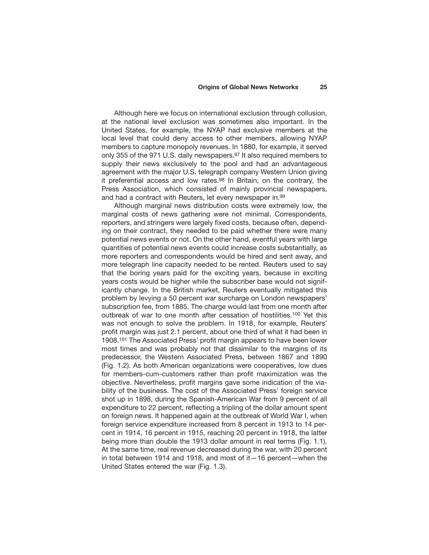Although here we focus on international exclusion through collusion, at the national level exclusion was sometimes also important. In the United States, for example, the NYAP had exclusive members at the local level that could deny access to other members, allowing NYAP members to capture monopoly revenues. In 1880, for example, it served only 355 of the 971 U.S. daily newspapers.97 It also required members to supply their news exclusively to the pool and had an advantageous agreement with the major U.S. telegraph company Western Union giving it preferential access and low rates.98 In Britain, on the contrary, the Press Association, which consisted of mainly provincial newspapers, and had a contract with Reuters, let every newspaper in.99

Although marginal news distribution costs were extremely low, the marginal costs of news gathering were not minimal. Correspondents, reporters, and stringers were largely fixed costs, because often, depending on their contract, they needed to be paid whether there were many potential news events or not. On the other hand, eventful years with large quantities of potential news events could increase costs substantially, as more reporters and correspondents would be hired and sent away, and more telegraph line capacity needed to be rented. Reuters used to say that the boring years paid for the exciting years, because in exciting years costs would be higher while the subscriber base would not significantly change. In the British market, Reuters eventually mitigated this problem by levying a 50 percent war surcharge on London newspapers' subscription fee, from 1885. The charge would last from one month after outbreak of war to one month after cessation of hostilities.100 Yet this was not enough to solve the problem. In 1918, for example, Reuters' profit margin was just 2.1 percent, about one third of what it had been in 1908.101 The Associated Press' profit margin appears to have been lower most times and was probably not that dissimilar to the margins of its predecessor, the Western Associated Press, between 1867 and 1890 (Fig. 1.2). As both American organizations were cooperatives, low dues for members-cum-customers rather than profit maximization was the objective. Nevertheless, profit margins gave some indication of the viability of the business. The cost of the Associated Press' foreign service shot up in 1898, during the Spanish-American War from 9 percent of all expenditure to 22 percent, reflecting a tripling of the dollar amount spent on foreign news. It happened again at the outbreak of World War I, when foreign service expenditure increased from 8 percent in 1913 to 14 percent in 1914, 16 percent in 1915, reaching 20 percent in 1918, the latter being more than double the 1913 dollar amount in real terms (Fig. 1.1). At the same time, real revenue decreased during the war, with 20 percent in total between 1914 and 1918, and most of it—16 percent—when the United States entered the war (Fig. 1.3).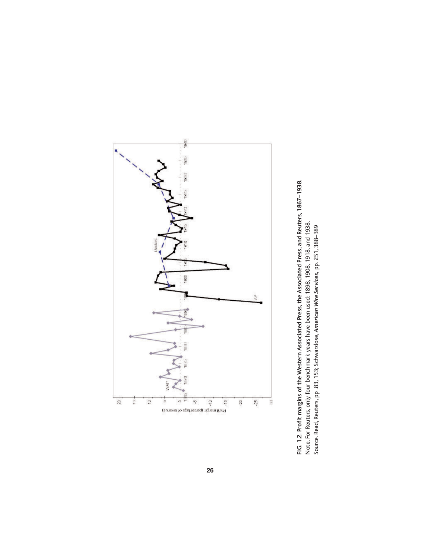

FIG. 1.2. Profit margins of the Western Associated Press, the Associated Press, and Reuters, 1867–1938.<br>Note. For Reuters, only four benchmark years have been used: 1898, 1908, 1918, and 1938.<br>Source. Read, Reuters, pp .83 **FIG. 1.2. Profit margins of the Western Associated Press, the Associated Press, and Reuters, 1867–1938.** Note. For Reuters, only four benchmark years have been used: 1898, 1908, 1918, and 1938. Source. Read, Reuters, pp .83, 153; Schwarzlose, *American Wire Services,* pp. 251, 388–389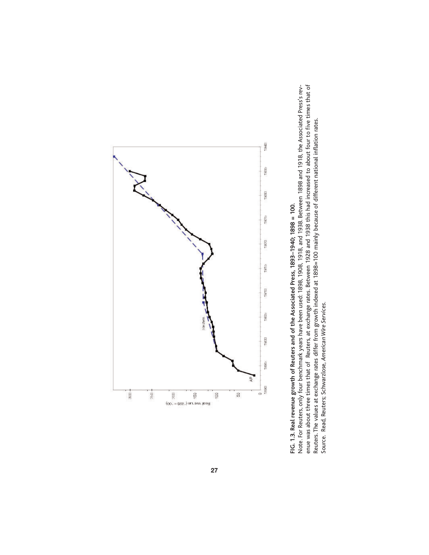

FIG. 1.3. Real revenue growth of Reuters and of the Associated Press, 1893-1940; 1898 = 100. **FIG. 1.3. Real revenue growth of Reuters and of the Associated Press, 1893–1940; 1898 = 100.**

enue was about three times that of Reuters, at exchange rates. Between 1928 and 1938 this had increased to about four to five times that of<br>Reuters. The values at exchange rates differ from growth indexed at 1898=100 mainl Note. For Reuters, only four benchmark years have been used: 1898, 1908, 1918, and 1938. Between 1898 and 1918, the Associated Press's rev-Note. For Reuters, only four benchmark years have been used: 1898, 1908, 1918, and 1938. Between 1898 and 1918, the Associated Press's revenue was about three times that of Reuters, at exchange rates. Between 1928 and 1938 this had increased to about four to five times that of Reuters. The values at exchange rates differ from growth indexed at 1898=100 mainly because of different national inflation rates. Source. Read, Reuters; Schwarzlose, *American Wire Services*.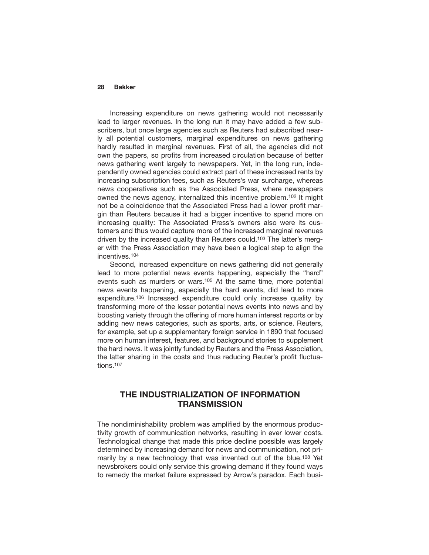Increasing expenditure on news gathering would not necessarily lead to larger revenues. In the long run it may have added a few subscribers, but once large agencies such as Reuters had subscribed nearly all potential customers, marginal expenditures on news gathering hardly resulted in marginal revenues. First of all, the agencies did not own the papers, so profits from increased circulation because of better news gathering went largely to newspapers. Yet, in the long run, independently owned agencies could extract part of these increased rents by increasing subscription fees, such as Reuters's war surcharge, whereas news cooperatives such as the Associated Press, where newspapers owned the news agency, internalized this incentive problem.102 It might not be a coincidence that the Associated Press had a lower profit margin than Reuters because it had a bigger incentive to spend more on increasing quality: The Associated Press's owners also were its customers and thus would capture more of the increased marginal revenues driven by the increased quality than Reuters could.103 The latter's merger with the Press Association may have been a logical step to align the incentives.104

Second, increased expenditure on news gathering did not generally lead to more potential news events happening, especially the "hard" events such as murders or wars.<sup>105</sup> At the same time, more potential news events happening, especially the hard events, did lead to more expenditure.106 Increased expenditure could only increase quality by transforming more of the lesser potential news events into news and by boosting variety through the offering of more human interest reports or by adding new news categories, such as sports, arts, or science. Reuters, for example, set up a supplementary foreign service in 1890 that focused more on human interest, features, and background stories to supplement the hard news. It was jointly funded by Reuters and the Press Association, the latter sharing in the costs and thus reducing Reuter's profit fluctuations.107

## **THE INDUSTRIALIZATION OF INFORMATION TRANSMISSION**

The nondiminishability problem was amplified by the enormous productivity growth of communication networks, resulting in ever lower costs. Technological change that made this price decline possible was largely determined by increasing demand for news and communication, not primarily by a new technology that was invented out of the blue.<sup>108</sup> Yet newsbrokers could only service this growing demand if they found ways to remedy the market failure expressed by Arrow's paradox. Each busi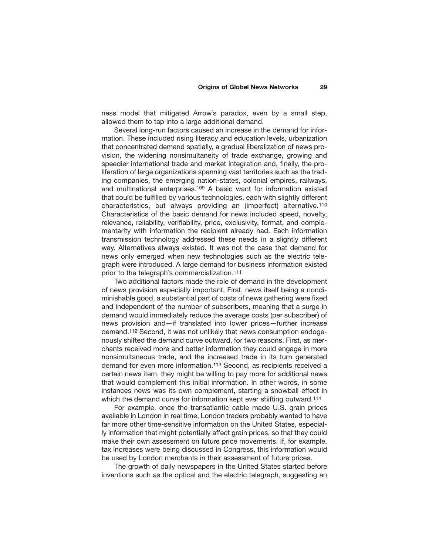ness model that mitigated Arrow's paradox, even by a small step, allowed them to tap into a large additional demand.

Several long-run factors caused an increase in the demand for information. These included rising literacy and education levels, urbanization that concentrated demand spatially, a gradual liberalization of news provision, the widening nonsimultaneity of trade exchange, growing and speedier international trade and market integration and, finally, the proliferation of large organizations spanning vast territories such as the trading companies, the emerging nation-states, colonial empires, railways, and multinational enterprises.109 A basic want for information existed that could be fulfilled by various technologies, each with slightly different characteristics, but always providing an (imperfect) alternative.110 Characteristics of the basic demand for news included speed, novelty, relevance, reliability, verifiability, price, exclusivity, format, and complementarity with information the recipient already had. Each information transmission technology addressed these needs in a slightly different way. Alternatives always existed. It was not the case that demand for news only emerged when new technologies such as the electric telegraph were introduced. A large demand for business information existed prior to the telegraph's commercialization.111

Two additional factors made the role of demand in the development of news provision especially important. First, news itself being a nondiminishable good, a substantial part of costs of news gathering were fixed and independent of the number of subscribers, meaning that a surge in demand would immediately reduce the average costs (per subscriber) of news provision and—if translated into lower prices—further increase demand.112 Second, it was not unlikely that news consumption endogenously shifted the demand curve outward, for two reasons. First, as merchants received more and better information they could engage in more nonsimultaneous trade, and the increased trade in its turn generated demand for even more information.113 Second, as recipients received a certain news item, they might be willing to pay more for additional news that would complement this initial information. In other words, in some instances news was its own complement, starting a snowball effect in which the demand curve for information kept ever shifting outward.<sup>114</sup>

For example, once the transatlantic cable made U.S. grain prices available in London in real time, London traders probably wanted to have far more other time-sensitive information on the United States, especially information that might potentially affect grain prices, so that they could make their own assessment on future price movements. If, for example, tax increases were being discussed in Congress, this information would be used by London merchants in their assessment of future prices.

The growth of daily newspapers in the United States started before inventions such as the optical and the electric telegraph, suggesting an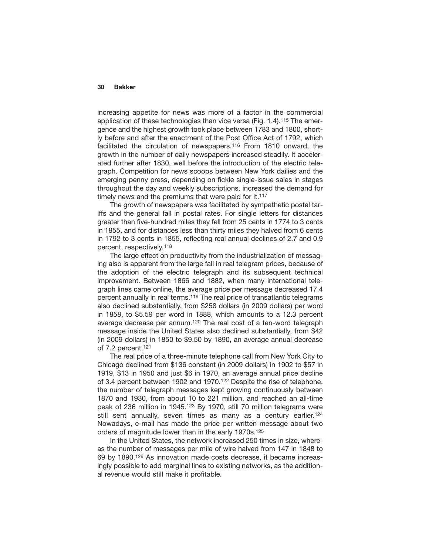increasing appetite for news was more of a factor in the commercial application of these technologies than vice versa (Fig. 1.4).115 The emergence and the highest growth took place between 1783 and 1800, shortly before and after the enactment of the Post Office Act of 1792, which facilitated the circulation of newspapers.116 From 1810 onward, the growth in the number of daily newspapers increased steadily. It accelerated further after 1830, well before the introduction of the electric telegraph. Competition for news scoops between New York dailies and the emerging penny press, depending on fickle single-issue sales in stages throughout the day and weekly subscriptions, increased the demand for timely news and the premiums that were paid for it.<sup>117</sup>

The growth of newspapers was facilitated by sympathetic postal tariffs and the general fall in postal rates. For single letters for distances greater than five-hundred miles they fell from 25 cents in 1774 to 3 cents in 1855, and for distances less than thirty miles they halved from 6 cents in 1792 to 3 cents in 1855, reflecting real annual declines of 2.7 and 0.9 percent, respectively.118

The large effect on productivity from the industrialization of messaging also is apparent from the large fall in real telegram prices, because of the adoption of the electric telegraph and its subsequent technical improvement. Between 1866 and 1882, when many international telegraph lines came online, the average price per message decreased 17.4 percent annually in real terms.119 The real price of transatlantic telegrams also declined substantially, from \$258 dollars (in 2009 dollars) per word in 1858, to \$5.59 per word in 1888, which amounts to a 12.3 percent average decrease per annum.120 The real cost of a ten-word telegraph message inside the United States also declined substantially, from \$42 (in 2009 dollars) in 1850 to \$9.50 by 1890, an average annual decrease of 7.2 percent.121

The real price of a three-minute telephone call from New York City to Chicago declined from \$136 constant (in 2009 dollars) in 1902 to \$57 in 1919, \$13 in 1950 and just \$6 in 1970, an average annual price decline of 3.4 percent between 1902 and 1970.<sup>122</sup> Despite the rise of telephone, the number of telegraph messages kept growing continuously between 1870 and 1930, from about 10 to 221 million, and reached an all-time peak of 236 million in 1945.123 By 1970, still 70 million telegrams were still sent annually, seven times as many as a century earlier.<sup>124</sup> Nowadays, e-mail has made the price per written message about two orders of magnitude lower than in the early 1970s.125

In the United States, the network increased 250 times in size, whereas the number of messages per mile of wire halved from 147 in 1848 to 69 by 1890.126 As innovation made costs decrease, it became increasingly possible to add marginal lines to existing networks, as the additional revenue would still make it profitable.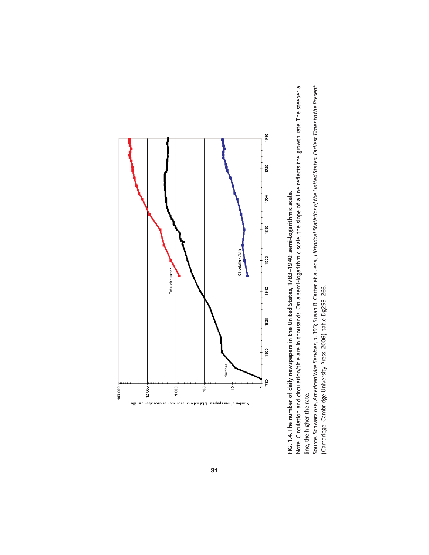

FIG. 1.4. The number of daily newspapers in the United States, 1783-1940: semi-logarithmic scale. **FIG. 1.4. The number of daily newspapers in the United States, 1783–1940: semi-logarithmic scale.**

Note. Circulation and circulation/title are in thousands. On a semi-logarithmic scale, the slope of a line reflects the growth rate. The steeper a Note. Circulation and circulation/title are in thousands. On a semi-logarithmic scale, the slope of a line reflects the growth rate. The steeper a line, the higher the rate. line, the higher the rate.

Source. Schwarzlose, American Wire Services, p. 393; Susan B. Carter et al. eds., Historical Statistics of the United States: Earliest Times to the Present Source. Schwarzlose, *American Wire Services*, p. 393; Susan B. Carter et al. eds., *Historical Statistics of the United States: Earliest Times to the Present* (Cambridge: Cambridge University Press, 2006), table Dg253-266. (Cambridge: Cambridge University Press, 2006), table Dg253–266.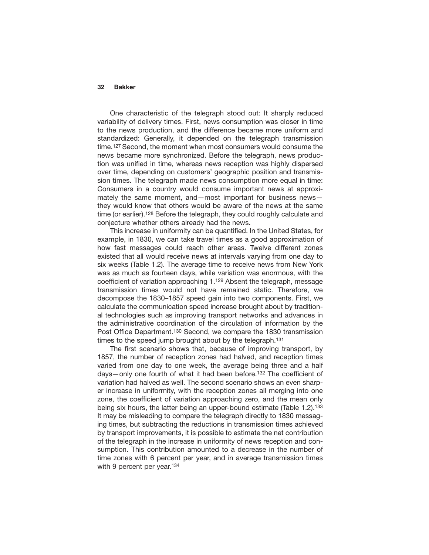One characteristic of the telegraph stood out: It sharply reduced variability of delivery times. First, news consumption was closer in time to the news production, and the difference became more uniform and standardized: Generally, it depended on the telegraph transmission time.127 Second, the moment when most consumers would consume the news became more synchronized. Before the telegraph, news production was unified in time, whereas news reception was highly dispersed over time, depending on customers' geographic position and transmission times. The telegraph made news consumption more equal in time: Consumers in a country would consume important news at approximately the same moment, and—most important for business news they would know that others would be aware of the news at the same time (or earlier).128 Before the telegraph, they could roughly calculate and conjecture whether others already had the news.

This increase in uniformity can be quantified. In the United States, for example, in 1830, we can take travel times as a good approximation of how fast messages could reach other areas. Twelve different zones existed that all would receive news at intervals varying from one day to six weeks (Table 1.2). The average time to receive news from New York was as much as fourteen days, while variation was enormous, with the coefficient of variation approaching 1.129 Absent the telegraph, message transmission times would not have remained static. Therefore, we decompose the 1830–1857 speed gain into two components. First, we calculate the communication speed increase brought about by traditional technologies such as improving transport networks and advances in the administrative coordination of the circulation of information by the Post Office Department.130 Second, we compare the 1830 transmission times to the speed jump brought about by the telegraph.<sup>131</sup>

The first scenario shows that, because of improving transport, by 1857, the number of reception zones had halved, and reception times varied from one day to one week, the average being three and a half days—only one fourth of what it had been before.132 The coefficient of variation had halved as well. The second scenario shows an even sharper increase in uniformity, with the reception zones all merging into one zone, the coefficient of variation approaching zero, and the mean only being six hours, the latter being an upper-bound estimate (Table 1.2).133 It may be misleading to compare the telegraph directly to 1830 messaging times, but subtracting the reductions in transmission times achieved by transport improvements, it is possible to estimate the net contribution of the telegraph in the increase in uniformity of news reception and consumption. This contribution amounted to a decrease in the number of time zones with 6 percent per year, and in average transmission times with 9 percent per year.<sup>134</sup>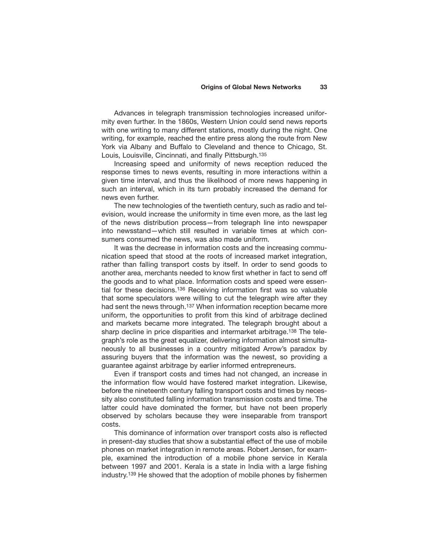Advances in telegraph transmission technologies increased uniformity even further. In the 1860s, Western Union could send news reports with one writing to many different stations, mostly during the night. One writing, for example, reached the entire press along the route from New York via Albany and Buffalo to Cleveland and thence to Chicago, St. Louis, Louisville, Cincinnati, and finally Pittsburgh.135

Increasing speed and uniformity of news reception reduced the response times to news events, resulting in more interactions within a given time interval, and thus the likelihood of more news happening in such an interval, which in its turn probably increased the demand for news even further.

The new technologies of the twentieth century, such as radio and television, would increase the uniformity in time even more, as the last leg of the news distribution process—from telegraph line into newspaper into newsstand—which still resulted in variable times at which consumers consumed the news, was also made uniform.

It was the decrease in information costs and the increasing communication speed that stood at the roots of increased market integration, rather than falling transport costs by itself. In order to send goods to another area, merchants needed to know first whether in fact to send off the goods and to what place. Information costs and speed were essential for these decisions.136 Receiving information first was so valuable that some speculators were willing to cut the telegraph wire after they had sent the news through.<sup>137</sup> When information reception became more uniform, the opportunities to profit from this kind of arbitrage declined and markets became more integrated. The telegraph brought about a sharp decline in price disparities and intermarket arbitrage.<sup>138</sup> The telegraph's role as the great equalizer, delivering information almost simultaneously to all businesses in a country mitigated Arrow's paradox by assuring buyers that the information was the newest, so providing a guarantee against arbitrage by earlier informed entrepreneurs.

Even if transport costs and times had not changed, an increase in the information flow would have fostered market integration. Likewise, before the nineteenth century falling transport costs and times by necessity also constituted falling information transmission costs and time. The latter could have dominated the former, but have not been properly observed by scholars because they were inseparable from transport costs.

This dominance of information over transport costs also is reflected in present-day studies that show a substantial effect of the use of mobile phones on market integration in remote areas. Robert Jensen, for example, examined the introduction of a mobile phone service in Kerala between 1997 and 2001. Kerala is a state in India with a large fishing industry.139 He showed that the adoption of mobile phones by fishermen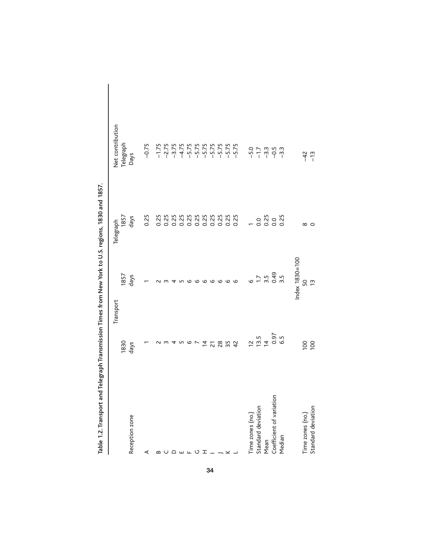| . You have all will allow the series of the series of the series of the series of the series of the series of the series of the series of the series of the series of the series of the series of the series of the series of |                                  |                                   |                           |                  |
|-------------------------------------------------------------------------------------------------------------------------------------------------------------------------------------------------------------------------------|----------------------------------|-----------------------------------|---------------------------|------------------|
|                                                                                                                                                                                                                               | Transport                        |                                   | Telegraph                 | Net contribution |
|                                                                                                                                                                                                                               | 1830                             | 1857                              | 1857                      | Telegraph        |
| Reception zone                                                                                                                                                                                                                | days                             | days                              | days                      | <b>Days</b>      |
| ⋖                                                                                                                                                                                                                             |                                  |                                   | 0.25                      | $-0.75$          |
| $\mathbf{a}$                                                                                                                                                                                                                  |                                  |                                   | 0.25                      |                  |
|                                                                                                                                                                                                                               |                                  |                                   | 0.25                      |                  |
| $\Omega$                                                                                                                                                                                                                      |                                  |                                   |                           |                  |
| யட                                                                                                                                                                                                                            |                                  |                                   | 22222222222               |                  |
|                                                                                                                                                                                                                               | 6                                |                                   |                           |                  |
| O                                                                                                                                                                                                                             |                                  |                                   |                           |                  |
| H                                                                                                                                                                                                                             | $\overline{4}$                   |                                   |                           |                  |
|                                                                                                                                                                                                                               | $\overline{2}$                   | G                                 |                           |                  |
|                                                                                                                                                                                                                               | 28                               |                                   |                           |                  |
|                                                                                                                                                                                                                               | 35                               | $\circ$                           |                           |                  |
|                                                                                                                                                                                                                               | $\overline{4}$                   | $\circ$                           |                           |                  |
| Time zones (no.)                                                                                                                                                                                                              |                                  | o                                 |                           |                  |
| Standard deviation                                                                                                                                                                                                            | $\overline{5}$ is $\overline{4}$ | $\overline{11}$                   |                           |                  |
| Mean                                                                                                                                                                                                                          |                                  | $3.5$<br>$0.49$<br>$3.5$<br>$3.5$ | 0 25<br>0 20 0<br>0 0 0 0 |                  |
| Coefficient of variation                                                                                                                                                                                                      | $0.97$<br>6.5                    |                                   |                           |                  |
| Median                                                                                                                                                                                                                        |                                  |                                   |                           |                  |
|                                                                                                                                                                                                                               |                                  | $Index$ $1830 = 100$              |                           |                  |
| Time zones (no.)                                                                                                                                                                                                              | 100                              | 50                                | $\infty$                  | $-42$            |
| Standard deviation                                                                                                                                                                                                            | 100                              | $\frac{1}{2}$                     | 0                         | $-13$            |

smission Times from New York to U.S. regions, 1830 and 1857. **Table 1.2. Transport and Telegraph Transmission Times from New York to U.S. regions, 1830 and 1857.** Table 1.2. Transport and Telegraph Trans

I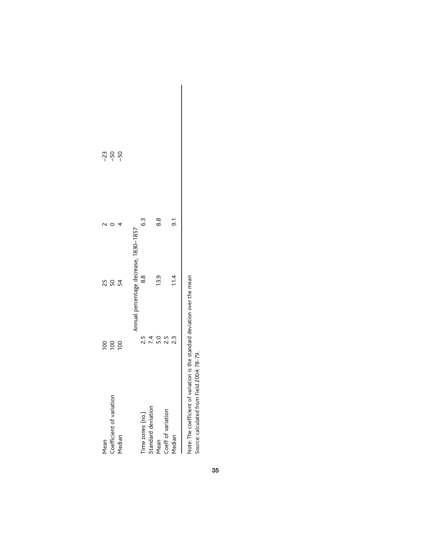| Mean                     | $\overline{100}$ |                                       |     | $-23$ |
|--------------------------|------------------|---------------------------------------|-----|-------|
| Coefficient of variation | $\overline{5}$   | 50                                    |     | $-50$ |
| Median                   | 100              | 54                                    |     | $-50$ |
|                          |                  | Annual percentage decrease, 1830-1857 |     |       |
| Time zones (no.)         | 2.5              | $\frac{8}{8}$                         | 3   |       |
|                          |                  |                                       |     |       |
| Standard deviation       | 7.4              |                                       |     |       |
| Mean                     | $\frac{0}{2}$    | 13.9                                  | 8.8 |       |
| Coeff of variation       | 2.5              |                                       |     |       |
| Median                   | 23               | 11.4                                  | 5.i |       |
|                          |                  |                                       |     |       |

Note: The coefficient of variation is the standard deviation over the mean<br>Source: calculated from Field 2004: 78-79. Note: The coefficient of variation is the standard deviation over the mean Source: calculated from Field 2004: 78-79.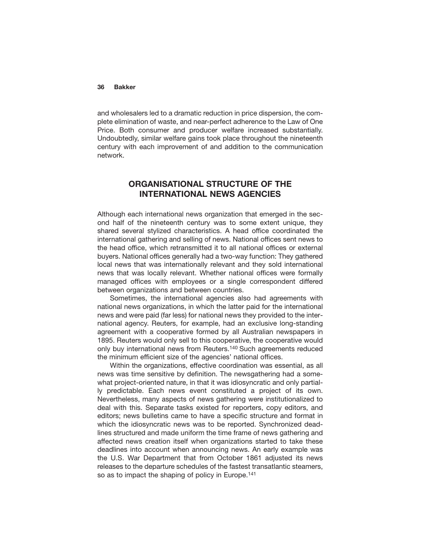and wholesalers led to a dramatic reduction in price dispersion, the complete elimination of waste, and near-perfect adherence to the Law of One Price. Both consumer and producer welfare increased substantially. Undoubtedly, similar welfare gains took place throughout the nineteenth century with each improvement of and addition to the communication network.

## **ORGANISATIONAL STRUCTURE OF THE INTERNATIONAL NEWS AGENCIES**

Although each international news organization that emerged in the second half of the nineteenth century was to some extent unique, they shared several stylized characteristics. A head office coordinated the international gathering and selling of news. National offices sent news to the head office, which retransmitted it to all national offices or external buyers. National offices generally had a two-way function: They gathered local news that was internationally relevant and they sold international news that was locally relevant. Whether national offices were formally managed offices with employees or a single correspondent differed between organizations and between countries.

Sometimes, the international agencies also had agreements with national news organizations, in which the latter paid for the international news and were paid (far less) for national news they provided to the international agency. Reuters, for example, had an exclusive long-standing agreement with a cooperative formed by all Australian newspapers in 1895. Reuters would only sell to this cooperative, the cooperative would only buy international news from Reuters.140 Such agreements reduced the minimum efficient size of the agencies' national offices.

Within the organizations, effective coordination was essential, as all news was time sensitive by definition. The newsgathering had a somewhat project-oriented nature, in that it was idiosyncratic and only partially predictable. Each news event constituted a project of its own. Nevertheless, many aspects of news gathering were institutionalized to deal with this. Separate tasks existed for reporters, copy editors, and editors; news bulletins came to have a specific structure and format in which the idiosyncratic news was to be reported. Synchronized deadlines structured and made uniform the time frame of news gathering and affected news creation itself when organizations started to take these deadlines into account when announcing news. An early example was the U.S. War Department that from October 1861 adjusted its news releases to the departure schedules of the fastest transatlantic steamers, so as to impact the shaping of policy in Europe.<sup>141</sup>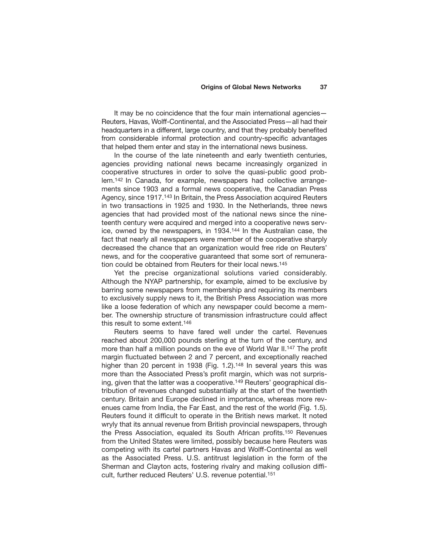It may be no coincidence that the four main international agencies— Reuters, Havas, Wolff-Continental, and the Associated Press—all had their headquarters in a different, large country, and that they probably benefited from considerable informal protection and country-specific advantages that helped them enter and stay in the international news business.

In the course of the late nineteenth and early twentieth centuries, agencies providing national news became increasingly organized in cooperative structures in order to solve the quasi-public good problem.142 In Canada, for example, newspapers had collective arrangements since 1903 and a formal news cooperative, the Canadian Press Agency, since 1917.143 In Britain, the Press Association acquired Reuters in two transactions in 1925 and 1930. In the Netherlands, three news agencies that had provided most of the national news since the nineteenth century were acquired and merged into a cooperative news service, owned by the newspapers, in 1934.144 In the Australian case, the fact that nearly all newspapers were member of the cooperative sharply decreased the chance that an organization would free ride on Reuters' news, and for the cooperative guaranteed that some sort of remuneration could be obtained from Reuters for their local news.145

Yet the precise organizational solutions varied considerably. Although the NYAP partnership, for example, aimed to be exclusive by barring some newspapers from membership and requiring its members to exclusively supply news to it, the British Press Association was more like a loose federation of which any newspaper could become a member. The ownership structure of transmission infrastructure could affect this result to some extent.146

Reuters seems to have fared well under the cartel. Revenues reached about 200,000 pounds sterling at the turn of the century, and more than half a million pounds on the eve of World War II.147 The profit margin fluctuated between 2 and 7 percent, and exceptionally reached higher than 20 percent in 1938 (Fig. 1.2).<sup>148</sup> In several years this was more than the Associated Press's profit margin, which was not surprising, given that the latter was a cooperative.<sup>149</sup> Reuters' geographical distribution of revenues changed substantially at the start of the twentieth century. Britain and Europe declined in importance, whereas more revenues came from India, the Far East, and the rest of the world (Fig. 1.5). Reuters found it difficult to operate in the British news market. It noted wryly that its annual revenue from British provincial newspapers, through the Press Association, equaled its South African profits.150 Revenues from the United States were limited, possibly because here Reuters was competing with its cartel partners Havas and Wolff-Continental as well as the Associated Press. U.S. antitrust legislation in the form of the Sherman and Clayton acts, fostering rivalry and making collusion difficult, further reduced Reuters' U.S. revenue potential.151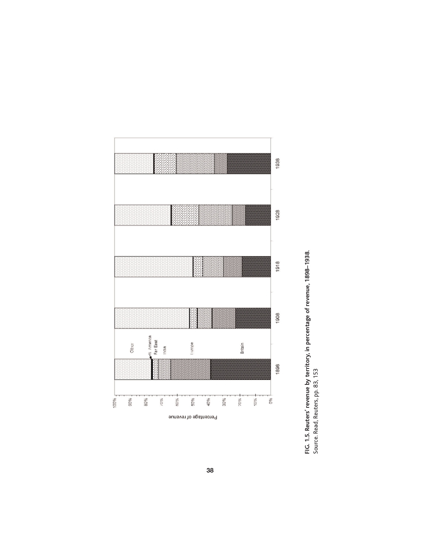

FIG. 1.5. Reuters' revenue by territory, in percentage of revenue, 1898–1938.<br>Source. Read, Reuters, pp. 83, 153 **FIG. 1.5. Reuters' revenue by territory, in percentage of revenue, 1898–1938.** Source. Read, Reuters, pp. 83, 153

**38**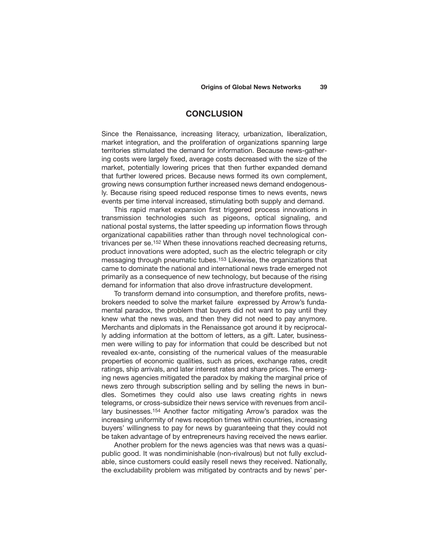## **CONCLUSION**

Since the Renaissance, increasing literacy, urbanization, liberalization, market integration, and the proliferation of organizations spanning large territories stimulated the demand for information. Because news-gathering costs were largely fixed, average costs decreased with the size of the market, potentially lowering prices that then further expanded demand that further lowered prices. Because news formed its own complement, growing news consumption further increased news demand endogenously. Because rising speed reduced response times to news events, news events per time interval increased, stimulating both supply and demand.

This rapid market expansion first triggered process innovations in transmission technologies such as pigeons, optical signaling, and national postal systems, the latter speeding up information flows through organizational capabilities rather than through novel technological contrivances per se.152 When these innovations reached decreasing returns, product innovations were adopted, such as the electric telegraph or city messaging through pneumatic tubes.153 Likewise, the organizations that came to dominate the national and international news trade emerged not primarily as a consequence of new technology, but because of the rising demand for information that also drove infrastructure development.

To transform demand into consumption, and therefore profits, newsbrokers needed to solve the market failure expressed by Arrow's fundamental paradox, the problem that buyers did not want to pay until they knew what the news was, and then they did not need to pay anymore. Merchants and diplomats in the Renaissance got around it by reciprocally adding information at the bottom of letters, as a gift. Later, businessmen were willing to pay for information that could be described but not revealed ex-ante, consisting of the numerical values of the measurable properties of economic qualities, such as prices, exchange rates, credit ratings, ship arrivals, and later interest rates and share prices. The emerging news agencies mitigated the paradox by making the marginal price of news zero through subscription selling and by selling the news in bundles. Sometimes they could also use laws creating rights in news telegrams, or cross-subsidize their news service with revenues from ancillary businesses.154 Another factor mitigating Arrow's paradox was the increasing uniformity of news reception times within countries, increasing buyers' willingness to pay for news by guaranteeing that they could not be taken advantage of by entrepreneurs having received the news earlier.

Another problem for the news agencies was that news was a quasipublic good. It was nondiminishable (non-rivalrous) but not fully excludable, since customers could easily resell news they received. Nationally, the excludability problem was mitigated by contracts and by news' per-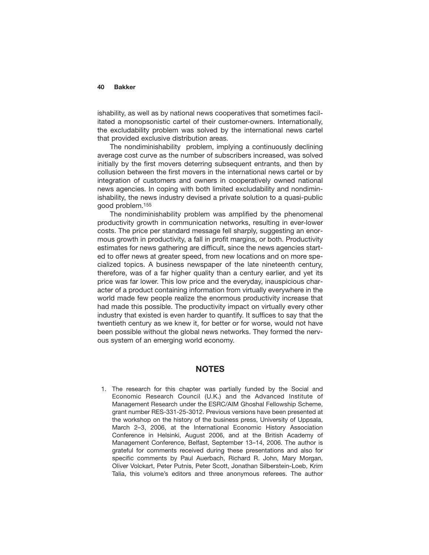ishability, as well as by national news cooperatives that sometimes facilitated a monopsonistic cartel of their customer-owners. Internationally, the excludability problem was solved by the international news cartel that provided exclusive distribution areas.

The nondiminishability problem, implying a continuously declining average cost curve as the number of subscribers increased, was solved initially by the first movers deterring subsequent entrants, and then by collusion between the first movers in the international news cartel or by integration of customers and owners in cooperatively owned national news agencies. In coping with both limited excludability and nondiminishability, the news industry devised a private solution to a quasi-public good problem.155

The nondiminishability problem was amplified by the phenomenal productivity growth in communication networks, resulting in ever-lower costs. The price per standard message fell sharply, suggesting an enormous growth in productivity, a fall in profit margins, or both. Productivity estimates for news gathering are difficult, since the news agencies started to offer news at greater speed, from new locations and on more specialized topics. A business newspaper of the late nineteenth century, therefore, was of a far higher quality than a century earlier, and yet its price was far lower. This low price and the everyday, inauspicious character of a product containing information from virtually everywhere in the world made few people realize the enormous productivity increase that had made this possible. The productivity impact on virtually every other industry that existed is even harder to quantify. It suffices to say that the twentieth century as we knew it, for better or for worse, would not have been possible without the global news networks. They formed the nervous system of an emerging world economy.

## **NOTES**

1. The research for this chapter was partially funded by the Social and Economic Research Council (U.K.) and the Advanced Institute of Management Research under the ESRC/AIM Ghoshal Fellowship Scheme, grant number RES-331-25-3012. Previous versions have been presented at the workshop on the history of the business press, University of Uppsala, March 2–3, 2006, at the International Economic History Association Conference in Helsinki, August 2006, and at the British Academy of Management Conference, Belfast, September 13–14, 2006. The author is grateful for comments received during these presentations and also for specific comments by Paul Auerbach, Richard R. John, Mary Morgan, Oliver Volckart, Peter Putnis, Peter Scott, Jonathan Silberstein-Loeb, Krim Talia, this volume's editors and three anonymous referees. The author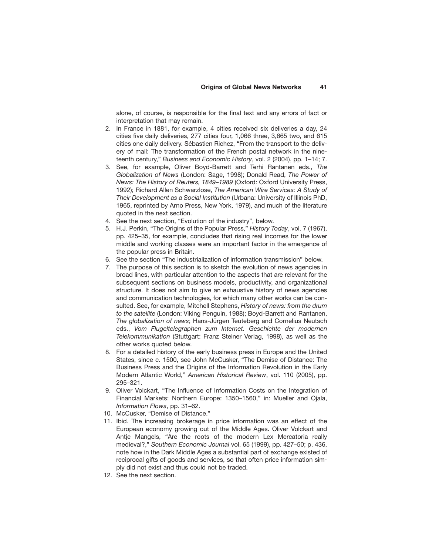alone, of course, is responsible for the final text and any errors of fact or interpretation that may remain.

- 2. In France in 1881, for example, 4 cities received six deliveries a day, 24 cities five daily deliveries, 277 cities four, 1,066 three, 3,665 two, and 615 cities one daily delivery. Sébastien Richez, "From the transport to the delivery of mail: The transformation of the French postal network in the nineteenth century," *Business and Economic History*, vol. 2 (2004), pp. 1–14; 7.
- 3. See, for example, Oliver Boyd-Barrett and Terhi Rantanen eds., *The Globalization of News* (London: Sage, 1998); Donald Read, *The Power of News: The History of Reuters, 1849–1989* (Oxford: Oxford University Press, 1992); Richard Allen Schwarzlose, *The American Wire Services: A Study of Their Development as a Social Institution* (Urbana: University of Illinois PhD, 1965, reprinted by Arno Press, New York, 1979), and much of the literature quoted in the next section.
- 4. See the next section, "Evolution of the industry", below.
- 5. H.J. Perkin, "The Origins of the Popular Press," *History Today*, vol. 7 (1967), pp. 425–35, for example, concludes that rising real incomes for the lower middle and working classes were an important factor in the emergence of the popular press in Britain.
- 6. See the section "The industrialization of information transmission" below.
- 7. The purpose of this section is to sketch the evolution of news agencies in broad lines, with particular attention to the aspects that are relevant for the subsequent sections on business models, productivity, and organizational structure. It does not aim to give an exhaustive history of news agencies and communication technologies, for which many other works can be consulted. See, for example, Mitchell Stephens, *History of news: from the drum to the satellite* (London: Viking Penguin, 1988); Boyd-Barrett and Rantanen, *The globalization of news*; Hans-Jürgen Teuteberg and Cornelius Neutsch eds., *Vom Flugeltelegraphen zum Internet. Geschichte der modernen Telekommunikation* (Stuttgart: Franz Steiner Verlag, 1998), as well as the other works quoted below.
- 8. For a detailed history of the early business press in Europe and the United States, since c. 1500, see John McCusker, "The Demise of Distance: The Business Press and the Origins of the Information Revolution in the Early Modern Atlantic World," *American Historical Review*, vol. 110 (2005), pp. 295–321.
- 9. Oliver Volckart, "The Influence of Information Costs on the Integration of Financial Markets: Northern Europe: 1350–1560," in: Mueller and Ojala, *Information Flows*, pp. 31–62.
- 10. McCusker, "Demise of Distance."
- 11. Ibid. The increasing brokerage in price information was an effect of the European economy growing out of the Middle Ages. Oliver Volckart and Antje Mangels, "Are the roots of the modern Lex Mercatoria really medieval?," *Southern Economic Journal* vol. 65 (1999), pp. 427–50; p. 436, note how in the Dark Middle Ages a substantial part of exchange existed of reciprocal gifts of goods and services, so that often price information simply did not exist and thus could not be traded.
- 12. See the next section.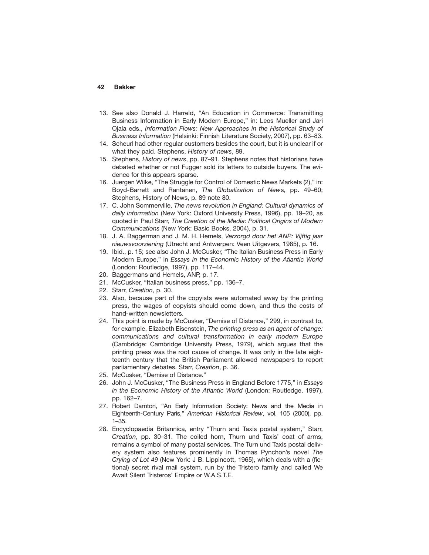- 13. See also Donald J. Harreld, "An Education in Commerce: Transmitting Business Information in Early Modern Europe," in: Leos Mueller and Jari Ojala eds., *Information Flows: New Approaches in the Historical Study of Business Information* (Helsinki: Finnish Literature Society, 2007), pp. 63–83.
- 14. Scheurl had other regular customers besides the court, but it is unclear if or what they paid. Stephens, *History of news*, 89.
- 15. Stephens, *History of news*, pp. 87–91. Stephens notes that historians have debated whether or not Fugger sold its letters to outside buyers. The evidence for this appears sparse.
- 16. Juergen Wilke, "The Struggle for Control of Domestic News Markets (2)," in: Boyd-Barrett and Rantanen, *The Globalization of New*s, pp. 49–60; Stephens, History of News, p. 89 note 80.
- 17. C. John Sommerville, *The news revolution in England: Cultural dynamics of daily information* (New York: Oxford University Press, 1996), pp. 19–20, as quoted in Paul Starr, *The Creation of the Media: Political Origins of Modern Communications* (New York: Basic Books, 2004), p. 31.
- 18. J. A. Baggerman and J. M. H. Hemels, *Verzorgd door het ANP: Vijftig jaar nieuwsvoorziening* (Utrecht and Antwerpen: Veen Uitgevers, 1985), p. 16.
- 19. Ibid., p. 15; see also John J. McCusker, "The Italian Business Press in Early Modern Europe," in *Essays in the Economic History of the Atlantic World* (London: Routledge, 1997), pp. 117–44.
- 20. Baggermans and Hemels, ANP, p. 17.
- 21. McCusker, "Italian business press," pp. 136–7.
- 22. Starr, *Creation*, p. 30.
- 23. Also, because part of the copyists were automated away by the printing press, the wages of copyists should come down, and thus the costs of hand-written newsletters.
- 24. This point is made by McCusker, "Demise of Distance," 299, in contrast to, for example, Elizabeth Eisenstein, *The printing press as an agent of change: communications and cultural transformation in early modern Europe* (Cambridge: Cambridge University Press, 1979), which argues that the printing press was the root cause of change. It was only in the late eighteenth century that the British Parliament allowed newspapers to report parliamentary debates. Starr, *Creation*, p. 36.
- 25. McCusker, "Demise of Distance."
- 26. John J. McCusker, "The Business Press in England Before 1775," in *Essays in the Economic History of the Atlantic World* (London: Routledge, 1997), pp. 162–7.
- 27. Robert Darnton, "An Early Information Society: News and the Media in Eighteenth-Century Paris," *American Historical Review*, vol. 105 (2000), pp. 1–35.
- 28. Encyclopaedia Britannica, entry "Thurn and Taxis postal system," Starr, *Creation*, pp. 30–31. The coiled horn, Thurn und Taxis' coat of arms, remains a symbol of many postal services. The Turn und Taxis postal delivery system also features prominently in Thomas Pynchon's novel *The Crying of Lot 49* (New York: J B. Lippincott, 1965), which deals with a (fictional) secret rival mail system, run by the Tristero family and called We Await Silent Tristeros' Empire or W.A.S.T.E.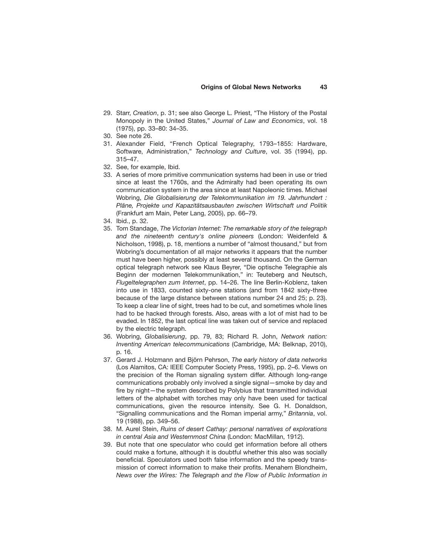- 29. Starr, *Creation*, p. 31; see also George L. Priest, "The History of the Postal Monopoly in the United States," *Journal of Law and Economics*, vol. 18 (1975), pp. 33–80: 34–35.
- 30. See note 26.
- 31. Alexander Field, "French Optical Telegraphy, 1793–1855: Hardware, Software, Administration," *Technology and Culture*, vol. 35 (1994), pp. 315–47.
- 32. See, for example, Ibid.
- 33. A series of more primitive communication systems had been in use or tried since at least the 1760s, and the Admiralty had been operating its own communication system in the area since at least Napoleonic times. Michael Wobring, *Die Globalisierung der Telekommunikation im 19. Jahrhundert : Pläne, Projekte und Kapazitätsausbauten zwischen Wirtschaft und Politik* (Frankfurt am Main, Peter Lang, 2005), pp. 66–79.
- 34. Ibid., p. 32.
- 35. Tom Standage, *The Victorian Internet: The remarkable story of the telegraph and the nineteenth century's online pioneers* (London: Weidenfeld & Nicholson, 1998), p. 18, mentions a number of "almost thousand," but from Wobring's documentation of all major networks it appears that the number must have been higher, possibly at least several thousand. On the German optical telegraph network see Klaus Beyrer, "Die optische Telegraphie als Beginn der modernen Telekommunikation," in: Teuteberg and Neutsch, *Flugeltelegraphen zum Internet*, pp. 14–26. The line Berlin-Koblenz, taken into use in 1833, counted sixty-one stations (and from 1842 sixty-three because of the large distance between stations number 24 and 25; p. 23). To keep a clear line of sight, trees had to be cut, and sometimes whole lines had to be hacked through forests. Also, areas with a lot of mist had to be evaded. In 1852, the last optical line was taken out of service and replaced by the electric telegraph.
- 36. Wobring, *Globalisierung*, pp. 79, 83; Richard R. John, *Network nation: Inventing American telecommunications* (Cambridge, MA: Belknap, 2010), p. 16.
- 37. Gerard J. Holzmann and Björn Pehrson, *The early history of data networks* (Los Alamitos, CA: IEEE Computer Society Press, 1995), pp. 2–6. Views on the precision of the Roman signaling system differ. Although long-range communications probably only involved a single signal—smoke by day and fire by night—the system described by Polybius that transmitted individual letters of the alphabet with torches may only have been used for tactical communications, given the resource intensity. See G. H. Donaldson, "Signalling communications and the Roman imperial army," *Britannia*, vol. 19 (1988), pp. 349–56.
- 38. M. Aurel Stein, *Ruins of desert Cathay: personal narratives of explorations in central Asia and Westernmost China* (London: MacMillan, 1912).
- 39. But note that one speculator who could get information before all others could make a fortune, although it is doubtful whether this also was socially beneficial. Speculators used both false information and the speedy transmission of correct information to make their profits. Menahem Blondheim, *News over the Wires: The Telegraph and the Flow of Public Information in*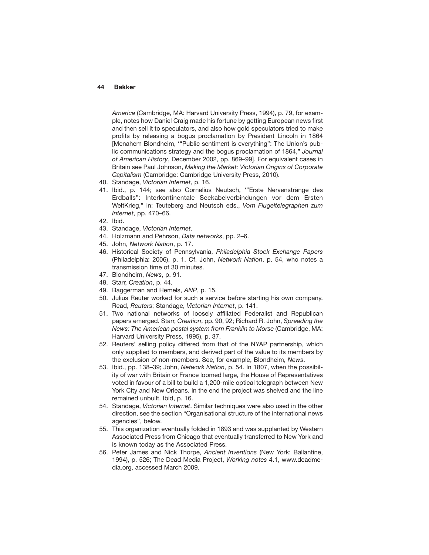*America* (Cambridge, MA: Harvard University Press, 1994), p. 79, for example, notes how Daniel Craig made his fortune by getting European news first and then sell it to speculators, and also how gold speculators tried to make profits by releasing a bogus proclamation by President Lincoln in 1864 [Menahem Blondheim, '"Public sentiment is everything": The Union's public communications strategy and the bogus proclamation of 1864," *Journal of American History*, December 2002, pp. 869–99]. For equivalent cases in Britain see Paul Johnson, *Making the Market: Victorian Origins of Corporate Capitalism* (Cambridge: Cambridge University Press, 2010).

- 40. Standage, *Victorian Internet*, p. 16.
- 41. Ibid., p. 144; see also Cornelius Neutsch, '"Erste Nervenstränge des Erdballs": Interkontinentale Seekabelverbindungen vor dem Ersten WeltKrieg," in: Teuteberg and Neutsch eds., *Vom Flugeltelegraphen zum Internet*, pp. 470–66.
- 42. Ibid.
- 43. Standage, *Victorian Internet*.
- 44. Holzmann and Pehrson, *Data networks*, pp. 2–6.
- 45. John, *Network Nation*, p. 17.
- 46. Historical Society of Pennsylvania, *Philadelphia Stock Exchange Papers* (Philadelphia: 2006), p. 1. Cf. John, *Network Nation*, p. 54, who notes a transmission time of 30 minutes.
- 47. Blondheim, *News*, p. 91.
- 48. Starr, *Creation*, p. 44.
- 49. Baggerman and Hemels, *ANP*, p. 15.
- 50. Julius Reuter worked for such a service before starting his own company. Read, *Reuters*; Standage, *Victorian Internet*, p. 141.
- 51. Two national networks of loosely affiliated Federalist and Republican papers emerged. Starr, *Creation*, pp. 90, 92; Richard R. John, *Spreading the News: The American postal system from Franklin to Morse* (Cambridge, MA: Harvard University Press, 1995), p. 37.
- 52. Reuters' selling policy differed from that of the NYAP partnership, which only supplied to members, and derived part of the value to its members by the exclusion of non-members. See, for example, Blondheim, *News*.
- 53. Ibid., pp. 138–39; John, *Network Nation*, p. 54. In 1807, when the possibility of war with Britain or France loomed large, the House of Representatives voted in favour of a bill to build a 1,200-mile optical telegraph between New York City and New Orleans. In the end the project was shelved and the line remained unbuilt. Ibid, p. 16.
- 54. Standage, *Victorian Internet*. Similar techniques were also used in the other direction, see the section "Organisational structure of the international news agencies", below.
- 55. This organization eventually folded in 1893 and was supplanted by Western Associated Press from Chicago that eventually transferred to New York and is known today as the Associated Press.
- 56. Peter James and Nick Thorpe, *Ancient Inventions* (New York: Ballantine, 1994), p. 526; The Dead Media Project, *Working notes* 4.1, www.deadmedia.org, accessed March 2009.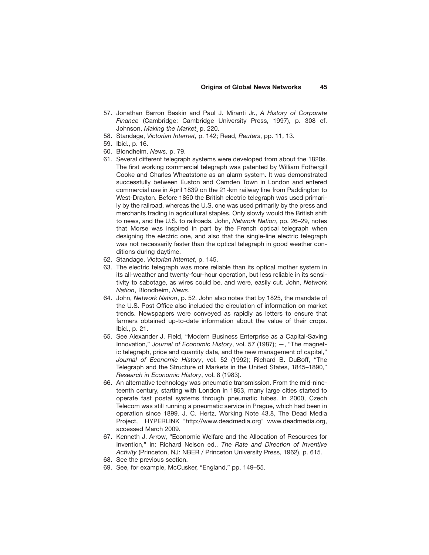- 57. Jonathan Barron Baskin and Paul J. Miranti Jr., *A History of Corporate Finance* (Cambridge: Cambridge University Press, 1997), p. 308 cf. Johnson, *Making the Market*¸ p. 220.
- 58. Standage, *Victorian Internet*, p. 142; Read, *Reuters*, pp. 11, 13.
- 59. Ibid., p. 16.
- 60. Blondheim, *News,* p. 79.
- 61. Several different telegraph systems were developed from about the 1820s. The first working commercial telegraph was patented by William Fothergill Cooke and Charles Wheatstone as an alarm system. It was demonstrated successfully between Euston and Camden Town in London and entered commercial use in April 1839 on the 21-km railway line from Paddington to West-Drayton. Before 1850 the British electric telegraph was used primarily by the railroad, whereas the U.S. one was used primarily by the press and merchants trading in agricultural staples. Only slowly would the British shift to news, and the U.S. to railroads. John, *Network Nation*, pp. 26–29, notes that Morse was inspired in part by the French optical telegraph when designing the electric one, and also that the single-line electric telegraph was not necessarily faster than the optical telegraph in good weather conditions during daytime.
- 62. Standage, *Victorian Internet*, p. 145.
- 63. The electric telegraph was more reliable than its optical mother system in its all-weather and twenty-four-hour operation, but less reliable in its sensitivity to sabotage, as wires could be, and were, easily cut. John, *Network Nation*, Blondheim, *News*.
- 64. John, *Network Nation*, p. 52. John also notes that by 1825, the mandate of the U.S. Post Office also included the circulation of information on market trends. Newspapers were conveyed as rapidly as letters to ensure that farmers obtained up-to-date information about the value of their crops. Ibid., p. 21.
- 65. See Alexander J. Field, "Modern Business Enterprise as a Capital-Saving Innovation," *Journal of Economic History*, vol. 57 (1987); —, "The magnetic telegraph, price and quantity data, and the new management of capital," *Journal of Economic History*, vol. 52 (1992); Richard B. DuBoff, "The Telegraph and the Structure of Markets in the United States, 1845–1890," *Research in Economic History*, vol. 8 (1983).
- 66. An alternative technology was pneumatic transmission. From the mid-nineteenth century, starting with London in 1853, many large cities started to operate fast postal systems through pneumatic tubes. In 2000, Czech Telecom was still running a pneumatic service in Prague, which had been in operation since 1899. J. C. Hertz, Working Note 43.8, The Dead Media Project, HYPERLINK "http://www.deadmedia.org" www.deadmedia.org, accessed March 2009.
- 67. Kenneth J. Arrow, "Economic Welfare and the Allocation of Resources for Invention," in: Richard Nelson ed., *The Rate and Direction of Inventive Activity* (Princeton, NJ: NBER / Princeton University Press, 1962), p. 615.
- 68. See the previous section.
- 69. See, for example, McCusker, "England," pp. 149–55.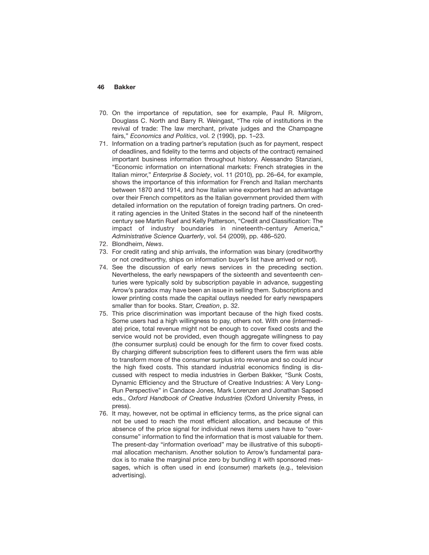- 70. On the importance of reputation, see for example, Paul R. Milgrom, Douglass C. North and Barry R. Weingast, "The role of institutions in the revival of trade: The law merchant, private judges and the Champagne fairs," *Economics and Politics*, vol. 2 (1990), pp. 1–23.
- 71. Information on a trading partner's reputation (such as for payment, respect of deadlines, and fidelity to the terms and objects of the contract) remained important business information throughout history. Alessandro Stanziani, "Economic information on international markets: French strategies in the Italian mirror," *Enterprise & Society*, vol. 11 (2010), pp. 26–64, for example, shows the importance of this information for French and Italian merchants between 1870 and 1914, and how Italian wine exporters had an advantage over their French competitors as the Italian government provided them with detailed information on the reputation of foreign trading partners. On credit rating agencies in the United States in the second half of the nineteenth century see Martin Ruef and Kelly Patterson, "Credit and Classification: The impact of industry boundaries in nineteenth-century America," *Administrative Science Quarterly*, vol. 54 (2009), pp. 486–520.
- 72. Blondheim, *News*.
- 73. For credit rating and ship arrivals, the information was binary (creditworthy or not creditworthy, ships on information buyer's list have arrived or not).
- 74. See the discussion of early news services in the preceding section. Nevertheless, the early newspapers of the sixteenth and seventeenth centuries were typically sold by subscription payable in advance, suggesting Arrow's paradox may have been an issue in selling them. Subscriptions and lower printing costs made the capital outlays needed for early newspapers smaller than for books. Starr, *Creation*, p. 32.
- 75. This price discrimination was important because of the high fixed costs. Some users had a high willingness to pay, others not. With one (intermediate) price, total revenue might not be enough to cover fixed costs and the service would not be provided, even though aggregate willingness to pay (the consumer surplus) could be enough for the firm to cover fixed costs. By charging different subscription fees to different users the firm was able to transform more of the consumer surplus into revenue and so could incur the high fixed costs. This standard industrial economics finding is discussed with respect to media industries in Gerben Bakker, "Sunk Costs, Dynamic Efficiency and the Structure of Creative Industries: A Very Long-Run Perspective" in Candace Jones, Mark Lorenzen and Jonathan Sapsed eds., *Oxford Handbook of Creative Industries* (Oxford University Press, in press).
- 76. It may, however, not be optimal in efficiency terms, as the price signal can not be used to reach the most efficient allocation, and because of this absence of the price signal for individual news items users have to "overconsume" information to find the information that is most valuable for them. The present-day "information overload" may be illustrative of this suboptimal allocation mechanism. Another solution to Arrow's fundamental paradox is to make the marginal price zero by bundling it with sponsored messages, which is often used in end (consumer) markets (e.g., television advertising).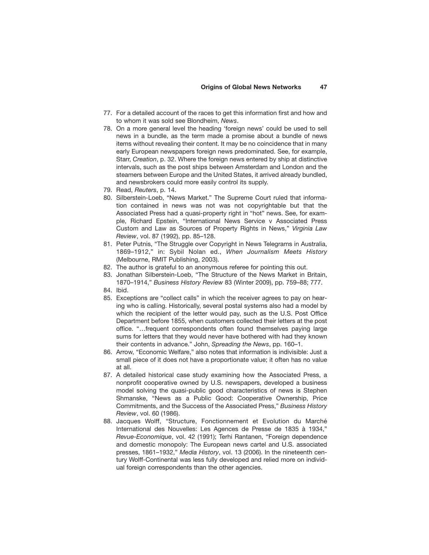- 77. For a detailed account of the races to get this information first and how and to whom it was sold see Blondheim, *News*.
- 78. On a more general level the heading 'foreign news' could be used to sell news in a bundle, as the term made a promise about a bundle of news items without revealing their content. It may be no coincidence that in many early European newspapers foreign news predominated. See, for example, Starr, *Creation*, p. 32. Where the foreign news entered by ship at distinctive intervals, such as the post ships between Amsterdam and London and the steamers between Europe and the United States, it arrived already bundled, and newsbrokers could more easily control its supply.
- 79. Read, *Reuters*, p. 14.
- 80. Silberstein-Loeb, "News Market." The Supreme Court ruled that information contained in news was not was not copyrightable but that the Associated Press had a quasi-property right in "hot" news. See, for example, Richard Epstein, "International News Service v Associated Press Custom and Law as Sources of Property Rights in News," *Virginia Law Review*, vol. 87 (1992), pp. 85–128.
- 81. Peter Putnis, "The Struggle over Copyright in News Telegrams in Australia, 1869–1912," in: Sybil Nolan ed., *When Journalism Meets History* (Melbourne, RMIT Publishing, 2003).
- 82. The author is grateful to an anonymous referee for pointing this out.
- 83. Jonathan Silberstein-Loeb, "The Structure of the News Market in Britain, 1870–1914," *Business History Review* 83 (Winter 2009), pp. 759–88; 777.
- 84. Ibid.
- 85. Exceptions are "collect calls" in which the receiver agrees to pay on hearing who is calling. Historically, several postal systems also had a model by which the recipient of the letter would pay, such as the U.S. Post Office Department before 1855, when customers collected their letters at the post office. "…frequent correspondents often found themselves paying large sums for letters that they would never have bothered with had they known their contents in advance." John, *Spreading the News*, pp. 160–1.
- 86. Arrow, "Economic Welfare," also notes that information is indivisible: Just a small piece of it does not have a proportionate value; it often has no value at all.
- 87. A detailed historical case study examining how the Associated Press, a nonprofit cooperative owned by U.S. newspapers, developed a business model solving the quasi-public good characteristics of news is Stephen Shmanske, "News as a Public Good: Cooperative Ownership, Price Commitments, and the Success of the Associated Press," *Business History Review*, vol. 60 (1986).
- 88. Jacques Wolff, "Structure, Fonctionnement et Evolution du Marché International des Nouvelles: Les Agences de Presse de 1835 à 1934," *Revue-Economique*, vol. 42 (1991); Terhi Rantanen, "Foreign dependence and domestic monopoly: The European news cartel and U.S. associated presses, 1861–1932," *Media History*, vol. 13 (2006). In the nineteenth century Wolff-Continental was less fully developed and relied more on individual foreign correspondents than the other agencies.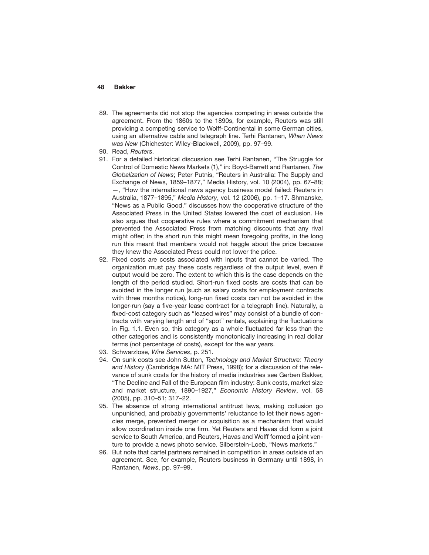- 89. The agreements did not stop the agencies competing in areas outside the agreement. From the 1860s to the 1890s, for example, Reuters was still providing a competing service to Wolff-Continental in some German cities, using an alternative cable and telegraph line. Terhi Rantanen, *When News was New* (Chichester: Wiley-Blackwell, 2009), pp. 97–99.
- 90. Read, *Reuters*.
- 91. For a detailed historical discussion see Terhi Rantanen, "The Struggle for Control of Domestic News Markets (1)," in: Boyd-Barrett and Rantanen, *The Globalization of News*; Peter Putnis, "Reuters in Australia: The Supply and Exchange of News, 1859–1877," Media History, vol. 10 (2004), pp. 67–88; —, "How the international news agency business model failed: Reuters in Australia, 1877–1895," *Media History*, vol. 12 (2006), pp. 1–17. Shmanske, "News as a Public Good," discusses how the cooperative structure of the Associated Press in the United States lowered the cost of exclusion. He also argues that cooperative rules where a commitment mechanism that prevented the Associated Press from matching discounts that any rival might offer; in the short run this might mean foregoing profits, in the long run this meant that members would not haggle about the price because they knew the Associated Press could not lower the price.
- 92. Fixed costs are costs associated with inputs that cannot be varied. The organization must pay these costs regardless of the output level, even if output would be zero. The extent to which this is the case depends on the length of the period studied. Short-run fixed costs are costs that can be avoided in the longer run (such as salary costs for employment contracts with three months notice), long-run fixed costs can not be avoided in the longer-run (say a five-year lease contract for a telegraph line). Naturally, a fixed-cost category such as "leased wires" may consist of a bundle of contracts with varying length and of "spot" rentals, explaining the fluctuations in Fig. 1.1. Even so, this category as a whole fluctuated far less than the other categories and is consistently monotonically increasing in real dollar terms (not percentage of costs), except for the war years.
- 93. Schwarzlose, *Wire Services*, p. 251.
- 94. On sunk costs see John Sutton, *Technology and Market Structure: Theory and History* (Cambridge MA: MIT Press, 1998); for a discussion of the relevance of sunk costs for the history of media industries see Gerben Bakker, "The Decline and Fall of the European film industry: Sunk costs, market size and market structure, 1890–1927," *Economic History Review*, vol. 58 (2005), pp. 310–51; 317–22.
- 95. The absence of strong international antitrust laws, making collusion go unpunished, and probably governments' reluctance to let their news agencies merge, prevented merger or acquisition as a mechanism that would allow coordination inside one firm. Yet Reuters and Havas did form a joint service to South America, and Reuters, Havas and Wolff formed a joint venture to provide a news photo service. Silberstein-Loeb, "News markets."
- 96. But note that cartel partners remained in competition in areas outside of an agreement. See, for example, Reuters business in Germany until 1898, in Rantanen, *News*, pp. 97–99.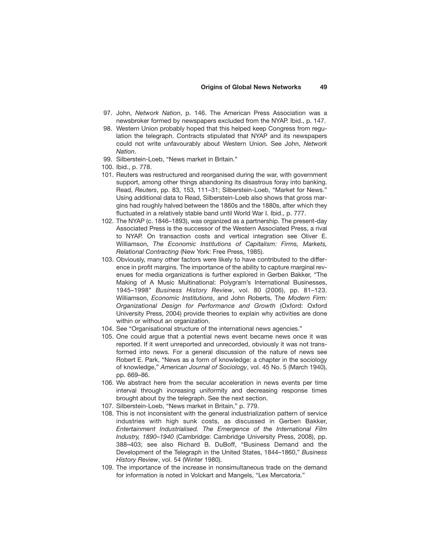- 97. John, *Network Nation*, p. 146. The American Press Association was a newsbroker formed by newspapers excluded from the NYAP. Ibid., p. 147.
- 98. Western Union probably hoped that this helped keep Congress from regulation the telegraph. Contracts stipulated that NYAP and its newspapers could not write unfavourably about Western Union. See John, *Network Nation*.
- 99. Silberstein-Loeb, "News market in Britain."
- 100. Ibid., p. 778.
- 101. Reuters was restructured and reorganised during the war, with government support, among other things abandoning its disastrous foray into banking. Read, *Reuters*, pp. 83, 153, 111–31; Silberstein-Loeb, "Market for News." Using additional data to Read, Silberstein-Loeb also shows that gross margins had roughly halved between the 1860s and the 1880s, after which they fluctuated in a relatively stable band until World War I. Ibid., p. 777.
- 102. The NYAP (c. 1846–1893), was organized as a partnership. The present-day Associated Press is the successor of the Western Associated Press, a rival to NYAP. On transaction costs and vertical integration see Oliver E. Williamson, *The Economic Institutions of Capitalism: Firms, Markets, Relational Contracting* (New York: Free Press, 1985).
- 103. Obviously, many other factors were likely to have contributed to the difference in profit margins. The importance of the ability to capture marginal revenues for media organizations is further explored in Gerben Bakker, "The Making of A Music Multinational: Polygram's International Businesses, 1945–1998" *Business History Review*, vol. 80 (2006), pp. 81–123. Williamson, *Economic Institutions*, and John Roberts, T*he Modern Firm: Organizational Design for Performance and Growth* (Oxford: Oxford University Press, 2004) provide theories to explain why activities are done within or without an organization.
- 104. See "Organisational structure of the international news agencies."
- 105. One could argue that a potential news event became news once it was reported. If it went unreported and unrecorded, obviously it was not transformed into news. For a general discussion of the nature of news see Robert E. Park, "News as a form of knowledge: a chapter in the sociology of knowledge," *American Journal of Sociology*, vol. 45 No. 5 (March 1940), pp. 669–86.
- 106. We abstract here from the secular acceleration in news events per time interval through increasing uniformity and decreasing response times brought about by the telegraph. See the next section.
- 107. Silberstein-Loeb, "News market in Britain," p. 779.
- 108. This is not inconsistent with the general industrialization pattern of service industries with high sunk costs, as discussed in Gerben Bakker, *Entertainment Industrialised. The Emergence of the International Film Industry, 1890–1940* (Cambridge: Cambridge University Press, 2008), pp. 388–403; see also Richard B. DuBoff, "Business Demand and the Development of the Telegraph in the United States, 1844–1860," *Business History Review*, vol. 54 (Winter 1980).
- 109. The importance of the increase in nonsimultaneous trade on the demand for information is noted in Volckart and Mangels, "Lex Mercatoria."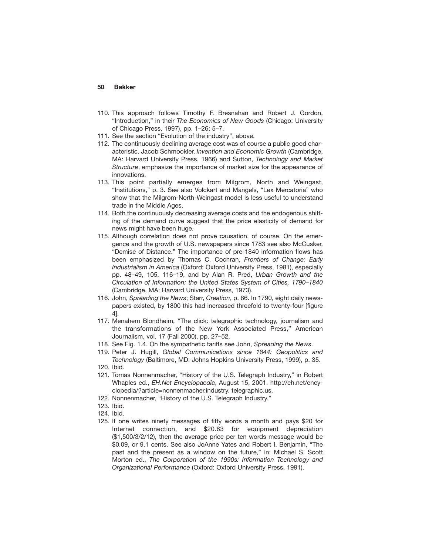- 110. This approach follows Timothy F. Bresnahan and Robert J. Gordon, "Introduction," in their *The Economics of New Goods* (Chicago: University of Chicago Press, 1997), pp. 1–26; 5–7.
- 111. See the section "Evolution of the industry", above.
- 112. The continuously declining average cost was of course a public good characteristic. Jacob Schmookler, *Invention and Economic Growth* (Cambridge, MA: Harvard University Press, 1966) and Sutton, *Technology and Market Structure*, emphasize the importance of market size for the appearance of innovations.
- 113. This point partially emerges from Milgrom, North and Weingast, "Institutions," p. 3. See also Volckart and Mangels, "Lex Mercatoria" who show that the Milgrom-North-Weingast model is less useful to understand trade in the Middle Ages.
- 114. Both the continuously decreasing average costs and the endogenous shifting of the demand curve suggest that the price elasticity of demand for news might have been huge.
- 115. Although correlation does not prove causation, of course. On the emergence and the growth of U.S. newspapers since 1783 see also McCusker, "Demise of Distance." The importance of pre-1840 information flows has been emphasized by Thomas C. Cochran, *Frontiers of Change: Early Industrialism in America* (Oxford: Oxford University Press, 1981), especially pp. 48–49, 105, 116–19, and by Alan R. Pred, *Urban Growth and the Circulation of Information: the United States System of Cities, 1790–1840* (Cambridge, MA: Harvard University Press, 1973).
- 116. John, *Spreading the News*; Starr, *Creation*, p. 86. In 1790, eight daily newspapers existed, by 1800 this had increased threefold to twenty-four [figure 4].
- 117. Menahem Blondheim, "The click: telegraphic technology, journalism and the transformations of the New York Associated Press," American Journalism, vol. 17 (Fall 2000), pp. 27–52.
- 118. See Fig. 1.4. On the sympathetic tariffs see John, *Spreading the News*.
- 119. Peter J. Hugill, *Global Communications since 1844: Geopolitics and Technology* (Baltimore, MD: Johns Hopkins University Press, 1999), p. 35.
- 120. Ibid.
- 121. Tomas Nonnenmacher, "History of the U.S. Telegraph Industry," in Robert Whaples ed., *EH.Net Encyclopaedia*, August 15, 2001. http://eh.net/encyclopedia/?article=nonnenmacher.industry. telegraphic.us.
- 122. Nonnenmacher, "History of the U.S. Telegraph Industry."
- 123. Ibid.
- 124. Ibid.
- 125. If one writes ninety messages of fifty words a month and pays \$20 for Internet connection, and \$20.83 for equipment depreciation (\$1,500/3/2/12), then the average price per ten words message would be \$0.09, or 9.1 cents. See also JoAnne Yates and Robert I. Benjamin, "The past and the present as a window on the future," in: Michael S. Scott Morton ed., *The Corporation of the 1990s: Information Technology and Organizational Performance* (Oxford: Oxford University Press, 1991).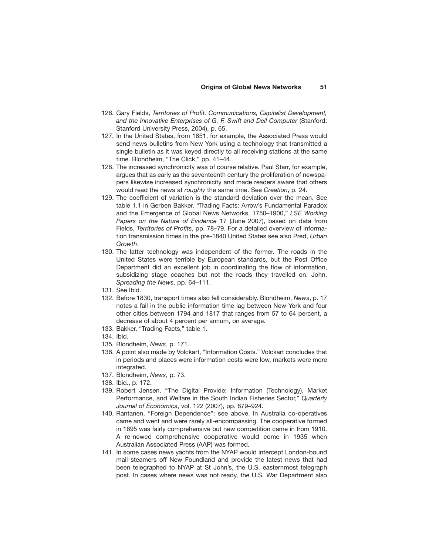- 126. Gary Fields, *Territories of Profit. Communications, Capitalist Development, and the Innovative Enterprises of G. F. Swift and Dell Computer* (Stanford: Stanford University Press, 2004), p. 65.
- 127. In the United States, from 1851, for example, the Associated Press would send news bulletins from New York using a technology that transmitted a single bulletin as it was keyed directly to all receiving stations at the same time. Blondheim, "The Click," pp. 41–44.
- 128. The increased synchronicity was of course relative. Paul Starr, for example, argues that as early as the seventeenth century the proliferation of newspapers likewise increased synchronicity and made readers aware that others would read the news at *roughly* the same time. See *Creation*, p. 24.
- 129. The coefficient of variation is the standard deviation over the mean. See table 1.1 in Gerben Bakker, "Trading Facts: Arrow's Fundamental Paradox and the Emergence of Global News Networks, 1750–1900," *LSE Working Papers on the Nature of Evidence* 17 (June 2007), based on data from Fields, *Territories of Profits*, pp. 78–79. For a detailed overview of information transmission times in the pre-1840 United States see also Pred, *Urban Growth*.
- 130. The latter technology was independent of the former. The roads in the United States were terrible by European standards, but the Post Office Department did an excellent job in coordinating the flow of information, subsidizing stage coaches but not the roads they travelled on. John, *Spreading the News*, pp. 64–111.
- 131. See Ibid.
- 132. Before 1830, transport times also fell considerably. Blondheim, *News*, p. 17 notes a fall in the public information time lag between New York and four other cities between 1794 and 1817 that ranges from 57 to 64 percent, a decrease of about 4 percent per annum, on average.
- 133. Bakker, "Trading Facts," table 1.
- 134. Ibid.
- 135. Blondheim, *News*, p. 171.
- 136. A point also made by Volckart, "Information Costs." Volckart concludes that in periods and places were information costs were low, markets were more integrated.
- 137. Blondheim, *News*, p. 73.
- 138. Ibid., p. 172.
- 139. Robert Jensen, "The Digital Provide: Information (Technology), Market Performance, and Welfare in the South Indian Fisheries Sector," *Quarterly Journal of Economics*, vol. 122 (2007), pp. 879–924.
- 140. Rantanen, "Foreign Dependence"; see above. In Australia co-operatives came and went and were rarely all-encompassing. The cooperative formed in 1895 was fairly comprehensive but new competition came in from 1910. A re-newed comprehensive cooperative would come in 1935 when Australian Associated Press (AAP) was formed.
- 141. In some cases news yachts from the NYAP would intercept London-bound mail steamers off New Foundland and provide the latest news that had been telegraphed to NYAP at St John's, the U.S. easternmost telegraph post. In cases where news was not ready, the U.S. War Department also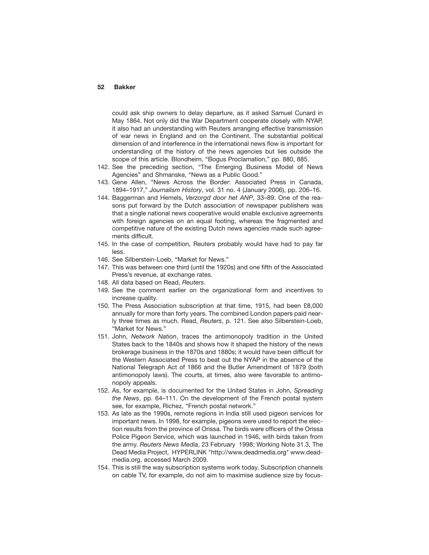could ask ship owners to delay departure, as it asked Samuel Cunard in May 1864. Not only did the War Department cooperate closely with NYAP, it also had an understanding with Reuters arranging effective transmission of war news in England and on the Continent. The substantial political dimension of and interference in the international news flow is important for understanding of the history of the news agencies but lies outside the scope of this article. Blondheim, "Bogus Proclamation," pp. 880, 885.

- 142. See the preceding section, "The Emerging Business Model of News Agencies" and Shmanske, "News as a Public Good."
- 143. Gene Allen, "News Across the Border: Associated Press in Canada, 1894–1917," *Journalism History*, vol. 31 no. 4 (January 2006), pp. 206–16.
- 144. Baggerman and Hemels, *Verzorgd door het ANP*, 33–89. One of the reasons put forward by the Dutch association of newspaper publishers was that a single national news cooperative would enable exclusive agreements with foreign agencies on an equal footing, whereas the fragmented and competitive nature of the existing Dutch news agencies made such agreements difficult.
- 145. In the case of competition, Reuters probably would have had to pay far less.
- 146. See Silberstein-Loeb, "Market for News."
- 147. This was between one third (until the 1920s) and one fifth of the Associated Press's revenue, at exchange rates.
- 148. All data based on Read, *Reuters*.
- 149. See the comment earlier on the organizational form and incentives to increase quality.
- 150. The Press Association subscription at that time, 1915, had been £8,000 annually for more than forty years. The combined London papers paid nearly three times as much. Read, *Reuters*, p. 121. See also Silberstein-Loeb, "Market for News."
- 151. John, *Network Nation*, traces the antimonopoly tradition in the United States back to the 1840s and shows how it shaped the history of the news brokerage business in the 1870s and 1880s; it would have been difficult for the Western Associated Press to beat out the NYAP in the absence of the National Telegraph Act of 1866 and the Butler Amendment of 1879 (both antimonopoly laws). The courts, at times, also were favorable to antimonopoly appeals.
- 152. As, for example, is documented for the United States in John, *Spreading the News*, pp. 64–111. On the development of the French postal system see, for example, Richez, "French postal network."
- 153. As late as the 1990s, remote regions in India still used pigeon services for important news. In 1998, for example, pigeons were used to report the election results from the province of Orissa. The birds were officers of the Orissa Police Pigeon Service, which was launched in 1946, with birds taken from the army. *Reuters News Media*, 23 February 1998; Working Note 31.3, The Dead Media Project, HYPERLINK "http://www.deadmedia.org" www.deadmedia.org, accessed March 2009.
- 154. This is still the way subscription systems work today. Subscription channels on cable TV, for example, do not aim to maximise audience size by focus-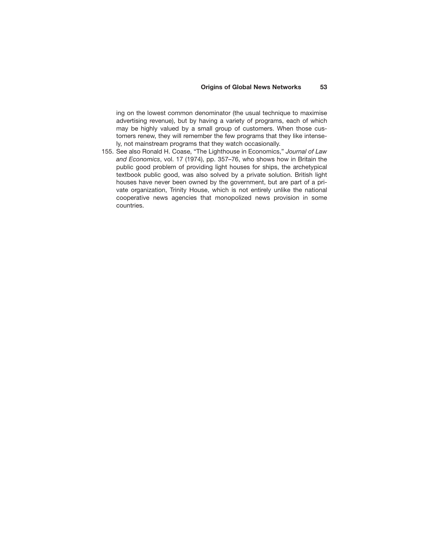## **Origins of Global News Networks 53**

ing on the lowest common denominator (the usual technique to maximise advertising revenue), but by having a variety of programs, each of which may be highly valued by a small group of customers. When those customers renew, they will remember the few programs that they like intensely, not mainstream programs that they watch occasionally.

155. See also Ronald H. Coase, "The Lighthouse in Economics," *Journal of Law and Economics*, vol. 17 (1974), pp. 357–76, who shows how in Britain the public good problem of providing light houses for ships, the archetypical textbook public good, was also solved by a private solution. British light houses have never been owned by the government, but are part of a private organization, Trinity House, which is not entirely unlike the national cooperative news agencies that monopolized news provision in some countries.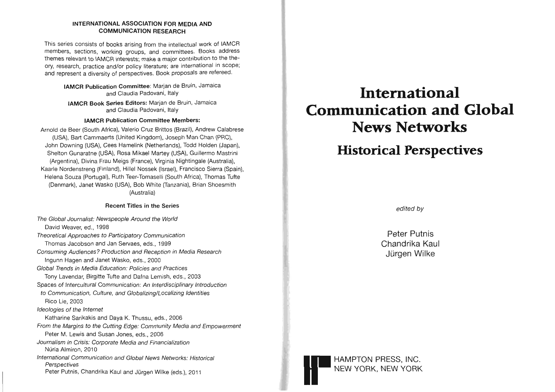## **INTERNATIONAL ASSOCIATION FOR MEDIA AND COMMUNICATION RESEARCH**

This series consists of books arising from the intellectual work of IAMCR members, sections, working groups, and committees. Books address themes relevant to IAMCR interests; make a major contribution to the theory, research, practice and/or policy literature; are international in scope; and represent a diversity of perspectives. Book proposals are refereed.

**IAMCR Publication Committee:** Marjan de Bruin, Jamaica and Claudia Padovani, Italy

**IAMCR Book Series Editors:** Marjan de Bruin, Jamaica and Claudia Padovani, Italy

## **IAMCR Publication Committee Members:**

Arnold de Beer (South Africa), Valeric Cruz Brittos (Brazil), Andrew Calabrese (USA), Bart Cammaerts (United Kingdom), Joseph Man Chan (PRC), John Downing (USA), Gees Hamelink (Netherlands), Todd Holden (Japan), Shelton Gunaratne (USA), Rosa Mikael Martey (USA), Guillermo Mastrini (Argentina), Divina Frau Meigs (France), Virginia Nightingale (Australia), Kaarle Nordenstreng (Finland), Hillel Nossek (Israel), Francisco Sierra (Spain), Helena Souza (Portugal), Ruth Teer-Tomaselli (South Africa), Thomas Tufte (Denmark), Janet Wasko (USA), Bob White (Tanzania), Brian Shoesmith (Australia)

## **Recent Titles in the Series**

The Global Journalist: Newspeople Around the World David Weaver, ed., 1998 Theoretical Approaches to Participatory Communication Thomas Jacobson and Jan Servaes, eds., 1999 Consuming Audiences? Production and Reception in Media Research Ingunn Hagen and Janet Wasko, eds., 2000 Global Trends in Media Education: Policies and Practices Tony Lavendar, Birgitte Tufte and Dafna Lemish, eds., 2003 Spaces of Intercultural Communication: An Interdisciplinary Introduction to Communication, Culture, and Globalizing/Localizing Identities Rico Lie, 2003 Ideologies of the Internet Katharine Sarikakis and Daya K. Thussu, eds., 2006 From the Margins to the Cutting Edge: Community Media and Empowerment Peter M. Lewis and Susan Jones, eds., 2006 Journalism in Crisis: Corporate Media and Financialization Núria Almiron, 2010 International Communication and Global News Networks: Historical **Perspectives** Peter Putnis, Chandrika Kaul and Jürgen Wilke (eds.), 2011

# **International Communication and Global News Networks**

## **Historical Perspectives**

edited by

Peter Putnis Chandrika Kaul Jürgen Wilke

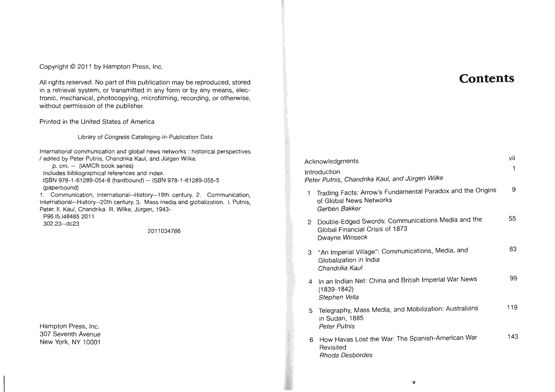Copyright © 2011 by Hampton Press, Inc.

All rights reserved. No part of this publication may be reproduced, stored in a retrieval system, or transmitted in any form or by any means, electronic, mechanical, photocopying, microfilming, recording, or otherwise, without permission of the publisher.

Printed in the United States of America

Library of Congress Cataloging-in-Publication Data

International communication and global news networks : historical perspectives / edited by Peter Putnis, Chandrika Kaul, and Jiirgen Wilke. p. cm. -- (IAMCR book series) Includes bibliographical references and index. ISBN 978-1-61289-054-8 (hardbound) -- ISBN 978-1-61289-055-5 (paperbound) 1. Communication, International--History~19th century. 2. Communication, International--History--20th century. 3. Mass media and globalization. I. Putnis, Peter. II. Kaul, Chandrika. III. Wilke, Jürgen, 1943-P96.I5.I484852011 302.23-dc23 2011034766

Hampton Press, Inc. 307 Seventh Avenue New York, NY 10001

## **Contents**

|              | Acknowledgments                                                                                        | vii<br>1 |
|--------------|--------------------------------------------------------------------------------------------------------|----------|
|              | ntroduction<br>Peter Putnis, Chandrika Kaul, and Jürgen Wilke                                          |          |
| $\mathbf{1}$ | Trading Facts: Arrow's Fundamental Paradox and the Origins<br>of Global News Networks<br>Gerben Bakker | 9        |
| 2            | Double-Edged Swords: Communications Media and the<br>Global Financial Crisis of 1873<br>Dwayne Winseck | 55       |
| 3            | "An Imperial Village": Communications, Media, and<br>Globalization in India<br>Chandrika Kaul          | 83       |
| 4            | In an Indian Net: China and British Imperial War News<br>$(1839 - 1842)$<br>Stephen Vella              | 99       |
| 5            | Telegraphy, Mass Media, and Mobilization: Australians<br>in Sudan, 1885<br><b>Peter Putnis</b>         | 119      |
| 6            | How Havas Lost the War: The Spanish-American War<br>Revisited<br><b>Rhoda Desbordes</b>                | 143      |
|              |                                                                                                        |          |